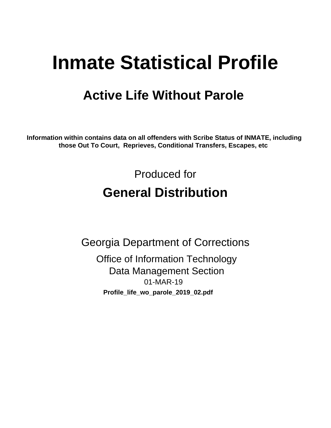# **Inmate Statistical Profile**

## **Active Life Without Parole**

Information within contains data on all offenders with Scribe Status of INMATE, including those Out To Court, Reprieves, Conditional Transfers, Escapes, etc

> Produced for **General Distribution**

**Georgia Department of Corrections Office of Information Technology Data Management Section** 01-MAR-19 Profile\_life\_wo\_parole\_2019\_02.pdf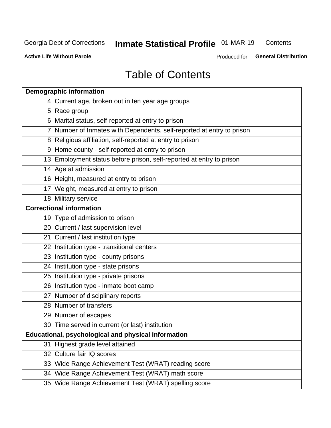#### Inmate Statistical Profile 01-MAR-19 Contents

**Active Life Without Parole** 

Produced for General Distribution

## **Table of Contents**

|    | <b>Demographic information</b>                                        |
|----|-----------------------------------------------------------------------|
|    | 4 Current age, broken out in ten year age groups                      |
|    | 5 Race group                                                          |
|    | 6 Marital status, self-reported at entry to prison                    |
|    | 7 Number of Inmates with Dependents, self-reported at entry to prison |
|    | 8 Religious affiliation, self-reported at entry to prison             |
|    | 9 Home county - self-reported at entry to prison                      |
|    | 13 Employment status before prison, self-reported at entry to prison  |
|    | 14 Age at admission                                                   |
|    | 16 Height, measured at entry to prison                                |
|    | 17 Weight, measured at entry to prison                                |
|    | 18 Military service                                                   |
|    | <b>Correctional information</b>                                       |
|    | 19 Type of admission to prison                                        |
|    | 20 Current / last supervision level                                   |
|    | 21 Current / last institution type                                    |
|    | 22 Institution type - transitional centers                            |
|    | 23 Institution type - county prisons                                  |
|    | 24 Institution type - state prisons                                   |
|    | 25 Institution type - private prisons                                 |
|    | 26 Institution type - inmate boot camp                                |
|    | 27 Number of disciplinary reports                                     |
|    | 28 Number of transfers                                                |
|    | 29 Number of escapes                                                  |
|    | 30 Time served in current (or last) institution                       |
|    | Educational, psychological and physical information                   |
| 31 | Highest grade level attained                                          |
|    | 32 Culture fair IQ scores                                             |
|    | 33 Wide Range Achievement Test (WRAT) reading score                   |
|    | 34 Wide Range Achievement Test (WRAT) math score                      |
|    | 35 Wide Range Achievement Test (WRAT) spelling score                  |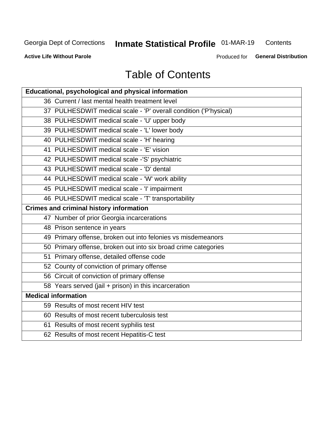#### Inmate Statistical Profile 01-MAR-19 Contents

**Active Life Without Parole** 

Produced for General Distribution

## **Table of Contents**

| Educational, psychological and physical information              |
|------------------------------------------------------------------|
| 36 Current / last mental health treatment level                  |
| 37 PULHESDWIT medical scale - 'P' overall condition ('P'hysical) |
| 38 PULHESDWIT medical scale - 'U' upper body                     |
| 39 PULHESDWIT medical scale - 'L' lower body                     |
| 40 PULHESDWIT medical scale - 'H' hearing                        |
| 41 PULHESDWIT medical scale - 'E' vision                         |
| 42 PULHESDWIT medical scale -'S' psychiatric                     |
| 43 PULHESDWIT medical scale - 'D' dental                         |
| 44 PULHESDWIT medical scale - 'W' work ability                   |
| 45 PULHESDWIT medical scale - 'I' impairment                     |
| 46 PULHESDWIT medical scale - 'T' transportability               |
| <b>Crimes and criminal history information</b>                   |
| 47 Number of prior Georgia incarcerations                        |
| 48 Prison sentence in years                                      |
| 49 Primary offense, broken out into felonies vs misdemeanors     |
| 50 Primary offense, broken out into six broad crime categories   |
| 51 Primary offense, detailed offense code                        |
| 52 County of conviction of primary offense                       |
| 56 Circuit of conviction of primary offense                      |
| 58 Years served (jail + prison) in this incarceration            |
| <b>Medical information</b>                                       |
| 59 Results of most recent HIV test                               |
| 60 Results of most recent tuberculosis test                      |
| 61 Results of most recent syphilis test                          |
| 62 Results of most recent Hepatitis-C test                       |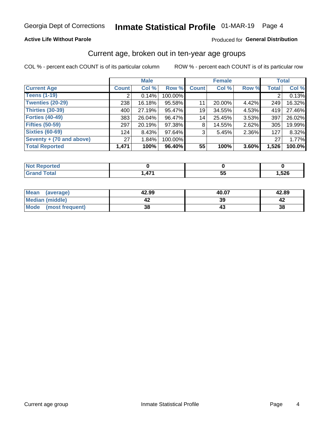#### **Active Life Without Parole**

#### Produced for General Distribution

### Current age, broken out in ten-year age groups

COL % - percent each COUNT is of its particular column

|                          |              | <b>Male</b> |         |              | <b>Female</b> |          |              | <b>Total</b> |
|--------------------------|--------------|-------------|---------|--------------|---------------|----------|--------------|--------------|
| <b>Current Age</b>       | <b>Count</b> | Col %       | Row %   | <b>Count</b> | Col %         | Row %    | <b>Total</b> | Col %        |
| <b>Teens (1-19)</b>      |              | 0.14%       | 100.00% |              |               |          |              | 0.13%        |
| <b>Twenties (20-29)</b>  | 238          | 16.18%      | 95.58%  | 11           | 20.00%        | 4.42%    | 249          | 16.32%       |
| Thirties (30-39)         | 400          | 27.19%      | 95.47%  | 19           | 34.55%        | 4.53%    | 419          | 27.46%       |
| <b>Forties (40-49)</b>   | 383          | 26.04%      | 96.47%  | 14           | 25.45%        | 3.53%    | 397          | 26.02%       |
| <b>Fifties (50-59)</b>   | 297          | 20.19%      | 97.38%  | 8            | 14.55%        | $2.62\%$ | 305          | 19.99%       |
| <b>Sixties (60-69)</b>   | 124          | 8.43%       | 97.64%  | 3            | 5.45%         | 2.36%    | 127          | 8.32%        |
| Seventy + (70 and above) | 27           | 1.84%       | 100.00% |              |               |          | 27           | 1.77%        |
| <b>Total Reported</b>    | 1,471        | 100%        | 96.40%  | 55           | 100%          | 3.60%    | 1,526        | 100.0%       |

| <b>Continued in the Continued Inc.</b><br>N<br>тет. |                |         |      |
|-----------------------------------------------------|----------------|---------|------|
| $C = 4$<br>_____                                    | $\overline{A}$ | --<br>v | ,526 |

| <b>Mean</b><br>(average) | 42.99 | 40.07 | 42.89 |
|--------------------------|-------|-------|-------|
| Median (middle)          |       | 39    |       |
| Mode (most frequent)     | 38    |       | 38    |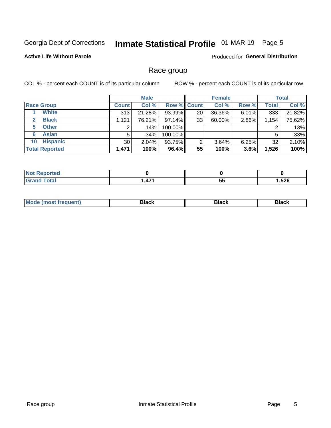## Inmate Statistical Profile 01-MAR-19 Page 5

#### **Active Life Without Parole**

Produced for General Distribution

### Race group

COL % - percent each COUNT is of its particular column

|                              | <b>Male</b>  |         |           | <b>Female</b>      |        |          | <b>Total</b> |        |
|------------------------------|--------------|---------|-----------|--------------------|--------|----------|--------------|--------|
| <b>Race Group</b>            | <b>Count</b> | Col %   |           | <b>Row % Count</b> | Col %  | Row %    | <b>Total</b> | Col %  |
| <b>White</b>                 | 313          | 21.28%  | 93.99%    | 20                 | 36.36% | 6.01%    | 333          | 21.82% |
| <b>Black</b><br>$\mathbf{2}$ | 1.121        | 76.21%  | $97.14\%$ | 33                 | 60.00% | 2.86%    | 1,154        | 75.62% |
| <b>Other</b><br>5.           |              | $.14\%$ | 100.00%   |                    |        |          | 2            | .13%   |
| <b>Asian</b><br>6            | 5            | $.34\%$ | 100.00%   |                    |        |          | 5            | .33%   |
| <b>Hispanic</b><br>10        | 30           | 2.04%   | 93.75%    | 2                  | 3.64%  | $6.25\%$ | 32           | 2.10%  |
| <b>Total Reported</b>        | 1,471        | 100%    | 96.4%     | 55                 | 100%   | 3.6%     | 1,526        | 100%   |

| ----<br>rreo<br>N |               |     |      |
|-------------------|---------------|-----|------|
| $C = 4 - 7$       | $\rightarrow$ | --  | ,526 |
| _____             |               | ູບປ |      |

| –•••• |  | M |  |  |  |
|-------|--|---|--|--|--|
|-------|--|---|--|--|--|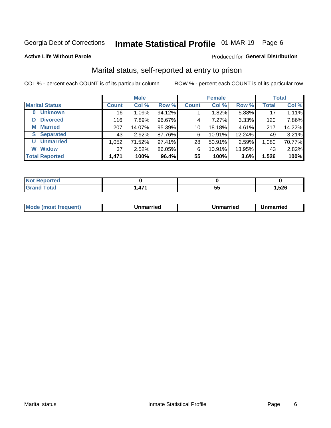## Inmate Statistical Profile 01-MAR-19 Page 6

#### **Active Life Without Parole**

#### Produced for General Distribution

### Marital status, self-reported at entry to prison

COL % - percent each COUNT is of its particular column

| <b>Male</b>                |              |        |        | <b>Female</b>   | <b>Total</b> |        |              |        |
|----------------------------|--------------|--------|--------|-----------------|--------------|--------|--------------|--------|
| <b>Marital Status</b>      | <b>Count</b> | Col %  | Row %  | <b>Count</b>    | Col %        | Row %  | <b>Total</b> | Col %  |
| <b>Unknown</b><br>$\bf{0}$ | 16           | 1.09%  | 94.12% |                 | 1.82%        | 5.88%  | 17           | 1.11%  |
| <b>Divorced</b><br>D       | 116          | 7.89%  | 96.67% | 4               | 7.27%        | 3.33%  | 120          | 7.86%  |
| <b>Married</b><br>М        | 207          | 14.07% | 95.39% | 10 <sup>1</sup> | 18.18%       | 4.61%  | 217          | 14.22% |
| <b>Separated</b><br>S.     | 43           | 2.92%  | 87.76% | 6               | 10.91%       | 12.24% | 49           | 3.21%  |
| <b>Unmarried</b><br>U      | 1,052        | 71.52% | 97.41% | 28              | 50.91%       | 2.59%  | 1,080        | 70.77% |
| <b>Widow</b><br>W          | 37           | 2.52%  | 86.05% | 6               | 10.91%       | 13.95% | 43           | 2.82%  |
| <b>Total Reported</b>      | 1,471        | 100%   | 96.4%  | 55              | 100%         | 3.6%   | 1,526        | 100%   |

| <b>prted</b><br>NOT RADO |          |    |       |
|--------------------------|----------|----|-------|
| <b>Total</b>             | 171<br>- | J. | 526ء, |

|  | M | . | Unmarried | າmarried<br>_____ |
|--|---|---|-----------|-------------------|
|--|---|---|-----------|-------------------|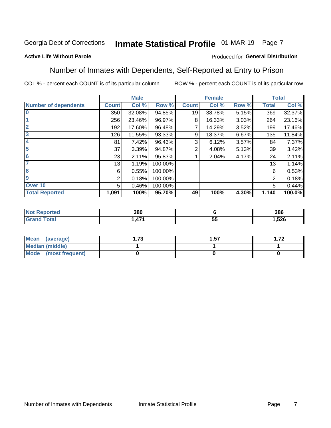## Inmate Statistical Profile 01-MAR-19 Page 7

#### **Active Life Without Parole**

#### Produced for General Distribution

### Number of Inmates with Dependents, Self-Reported at Entry to Prison

COL % - percent each COUNT is of its particular column

|                             |              | <b>Male</b> |         |              | <b>Female</b> |       |              | <b>Total</b> |
|-----------------------------|--------------|-------------|---------|--------------|---------------|-------|--------------|--------------|
| <b>Number of dependents</b> | <b>Count</b> | Col %       | Row %   | <b>Count</b> | Col %         | Row % | <b>Total</b> | Col %        |
| $\bf{0}$                    | 350          | 32.08%      | 94.85%  | 19           | 38.78%        | 5.15% | 369          | 32.37%       |
|                             | 256          | 23.46%      | 96.97%  | 8            | 16.33%        | 3.03% | 264          | 23.16%       |
| $\overline{2}$              | 192          | 17.60%      | 96.48%  |              | 14.29%        | 3.52% | 199          | 17.46%       |
| 3                           | 126          | 11.55%      | 93.33%  | 9            | 18.37%        | 6.67% | 135          | 11.84%       |
| 4                           | 81           | 7.42%       | 96.43%  | 3            | 6.12%         | 3.57% | 84           | 7.37%        |
| 5                           | 37           | 3.39%       | 94.87%  | 2            | 4.08%         | 5.13% | 39           | 3.42%        |
| $6\phantom{1}6$             | 23           | 2.11%       | 95.83%  |              | 2.04%         | 4.17% | 24           | 2.11%        |
| 7                           | 13           | 1.19%       | 100.00% |              |               |       | 13           | 1.14%        |
| 8                           | 6            | 0.55%       | 100.00% |              |               |       | 6            | 0.53%        |
| $\boldsymbol{9}$            | 2            | 0.18%       | 100.00% |              |               |       | 2            | 0.18%        |
| Over 10                     | 5            | 0.46%       | 100.00% |              |               |       | 5            | 0.44%        |
| <b>Total Reported</b>       | 1,091        | 100%        | 95.70%  | 49           | 100%          | 4.30% | 1,140        | 100.0%       |

| 380          |                 | 386          |
|--------------|-----------------|--------------|
| $A - A$<br>л | --<br>. .<br>J. | 526,<br>$ -$ |

| Mean<br>(average)      | 72<br>I . / J | . 57 | ר ⊤<br>I . <i>I 4</i> |
|------------------------|---------------|------|-----------------------|
| <b>Median (middle)</b> |               |      |                       |
| Mode (most frequent)   |               |      |                       |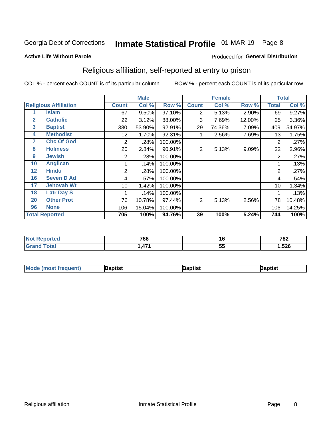## Inmate Statistical Profile 01-MAR-19 Page 8

#### **Active Life Without Parole**

#### Produced for General Distribution

## Religious affiliation, self-reported at entry to prison

COL % - percent each COUNT is of its particular column

|              |                              |              | <b>Male</b> |         |              | <b>Female</b> |        |                | <b>Total</b> |
|--------------|------------------------------|--------------|-------------|---------|--------------|---------------|--------|----------------|--------------|
|              | <b>Religious Affiliation</b> | <b>Count</b> | Col %       | Row %   | <b>Count</b> | Col %         | Row %  | <b>Total</b>   | Col %        |
|              | <b>Islam</b>                 | 67           | 9.50%       | 97.10%  | 2            | 5.13%         | 2.90%  | 69             | 9.27%        |
| $\mathbf{2}$ | <b>Catholic</b>              | 22           | 3.12%       | 88.00%  | 3            | 7.69%         | 12.00% | 25             | 3.36%        |
| 3            | <b>Baptist</b>               | 380          | 53.90%      | 92.91%  | 29           | 74.36%        | 7.09%  | 409            | 54.97%       |
| 4            | <b>Methodist</b>             | 12           | 1.70%       | 92.31%  |              | 2.56%         | 7.69%  | 13             | 1.75%        |
| 7            | <b>Chc Of God</b>            | 2            | .28%        | 100.00% |              |               |        | 2              | .27%         |
| 8            | <b>Holiness</b>              | 20           | 2.84%       | 90.91%  | 2            | 5.13%         | 9.09%  | 22             | 2.96%        |
| 9            | <b>Jewish</b>                | 2            | .28%        | 100.00% |              |               |        | $\overline{2}$ | .27%         |
| 10           | <b>Anglican</b>              |              | .14%        | 100.00% |              |               |        |                | .13%         |
| 12           | <b>Hindu</b>                 | 2            | .28%        | 100.00% |              |               |        | $\overline{2}$ | .27%         |
| 16           | <b>Seven D Ad</b>            | 4            | .57%        | 100.00% |              |               |        | 4              | .54%         |
| 17           | <b>Jehovah Wt</b>            | 10           | 1.42%       | 100.00% |              |               |        | 10             | 1.34%        |
| 18           | <b>Latr Day S</b>            |              | .14%        | 100.00% |              |               |        |                | .13%         |
| 20           | <b>Other Prot</b>            | 76           | 10.78%      | 97.44%  | 2            | 5.13%         | 2.56%  | 78             | 10.48%       |
| 96           | <b>None</b>                  | 106          | 15.04%      | 100.00% |              |               |        | 106            | 14.25%       |
|              | <b>Total Reported</b>        | 705          | 100%        | 94.76%  | 39           | 100%          | 5.24%  | 744            | 100%         |

| ı teu<br>$\sim$ | 766                      | 10 | 702<br>' O∠ |
|-----------------|--------------------------|----|-------------|
| ______          | $\overline{\phantom{a}}$ | -- | 526         |
|                 |                          | v. | ∪⊾טו        |

| <b>Mode (most frequent)</b> | 3aptist | 3aptist | Baptist |
|-----------------------------|---------|---------|---------|
|-----------------------------|---------|---------|---------|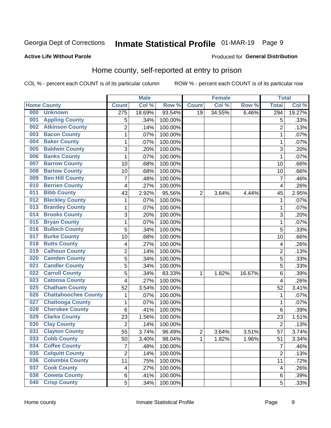## Inmate Statistical Profile 01-MAR-19 Page 9

#### **Active Life Without Parole**

#### Produced for General Distribution

### Home county, self-reported at entry to prison

COL % - percent each COUNT is of its particular column

|     |                             |                         | <b>Male</b> |         |                | <b>Female</b> |        | <b>Total</b>   |        |
|-----|-----------------------------|-------------------------|-------------|---------|----------------|---------------|--------|----------------|--------|
|     | <b>Home County</b>          | <b>Count</b>            | Col %       | Row %   | <b>Count</b>   | Col %         | Row %  | <b>Total</b>   | Col %  |
| 000 | <b>Unknown</b>              | $\overline{275}$        | 18.69%      | 93.54%  | 19             | 34.55%        | 6.46%  | 294            | 19.27% |
| 001 | <b>Appling County</b>       | 5                       | .34%        | 100.00% |                |               |        | 5              | .33%   |
| 002 | <b>Atkinson County</b>      | $\overline{2}$          | .14%        | 100.00% |                |               |        | $\overline{2}$ | .13%   |
| 003 | <b>Bacon County</b>         | $\mathbf{1}$            | .07%        | 100.00% |                |               |        | 1              | .07%   |
| 004 | <b>Baker County</b>         | $\mathbf 1$             | .07%        | 100.00% |                |               |        | 1              | .07%   |
| 005 | <b>Baldwin County</b>       | 3                       | .20%        | 100.00% |                |               |        | 3              | .20%   |
| 006 | <b>Banks County</b>         | $\mathbf{1}$            | .07%        | 100.00% |                |               |        | 1              | .07%   |
| 007 | <b>Barrow County</b>        | 10                      | .68%        | 100.00% |                |               |        | 10             | .66%   |
| 008 | <b>Bartow County</b>        | 10                      | .68%        | 100.00% |                |               |        | 10             | .66%   |
| 009 | <b>Ben Hill County</b>      | $\overline{7}$          | .48%        | 100.00% |                |               |        | $\overline{7}$ | .46%   |
| 010 | <b>Berrien County</b>       | 4                       | .27%        | 100.00% |                |               |        | 4              | .26%   |
| 011 | <b>Bibb County</b>          | 43                      | 2.92%       | 95.56%  | $\overline{2}$ | 3.64%         | 4.44%  | 45             | 2.95%  |
| 012 | <b>Bleckley County</b>      | 1                       | .07%        | 100.00% |                |               |        | 1              | .07%   |
| 013 | <b>Brantley County</b>      | $\mathbf 1$             | .07%        | 100.00% |                |               |        | 1              | .07%   |
| 014 | <b>Brooks County</b>        | 3                       | .20%        | 100.00% |                |               |        | 3              | .20%   |
| 015 | <b>Bryan County</b>         | 1                       | .07%        | 100.00% |                |               |        | 1              | .07%   |
| 016 | <b>Bulloch County</b>       | 5                       | .34%        | 100.00% |                |               |        | 5              | .33%   |
| 017 | <b>Burke County</b>         | 10                      | .68%        | 100.00% |                |               |        | 10             | .66%   |
| 018 | <b>Butts County</b>         | 4                       | .27%        | 100.00% |                |               |        | 4              | .26%   |
| 019 | <b>Calhoun County</b>       | $\overline{c}$          | .14%        | 100.00% |                |               |        | $\overline{2}$ | .13%   |
| 020 | <b>Camden County</b>        | 5                       | .34%        | 100.00% |                |               |        | 5              | .33%   |
| 021 | <b>Candler County</b>       | 5                       | .34%        | 100.00% |                |               |        | 5              | .33%   |
| 022 | <b>Carroll County</b>       | 5                       | .34%        | 83.33%  | 1              | 1.82%         | 16.67% | 6              | .39%   |
| 023 | <b>Catoosa County</b>       | 4                       | .27%        | 100.00% |                |               |        | 4              | .26%   |
| 025 | <b>Chatham County</b>       | 52                      | 3.54%       | 100.00% |                |               |        | 52             | 3.41%  |
| 026 | <b>Chattahoochee County</b> | $\mathbf 1$             | .07%        | 100.00% |                |               |        | 1              | .07%   |
| 027 | <b>Chattooga County</b>     | $\mathbf 1$             | .07%        | 100.00% |                |               |        | 1              | .07%   |
| 028 | <b>Cherokee County</b>      | 6                       | .41%        | 100.00% |                |               |        | 6              | .39%   |
| 029 | <b>Clarke County</b>        | 23                      | 1.56%       | 100.00% |                |               |        | 23             | 1.51%  |
| 030 | <b>Clay County</b>          | $\overline{2}$          | .14%        | 100.00% |                |               |        | $\overline{2}$ | .13%   |
| 031 | <b>Clayton County</b>       | 55                      | 3.74%       | 96.49%  | $\overline{c}$ | 3.64%         | 3.51%  | 57             | 3.74%  |
| 033 | <b>Cobb County</b>          | 50                      | 3.40%       | 98.04%  | 1              | 1.82%         | 1.96%  | 51             | 3.34%  |
| 034 | <b>Coffee County</b>        | $\overline{7}$          | .48%        | 100.00% |                |               |        | $\overline{7}$ | .46%   |
| 035 | <b>Colquitt County</b>      | $\overline{2}$          | .14%        | 100.00% |                |               |        | $\overline{2}$ | .13%   |
| 036 | <b>Columbia County</b>      | 11                      | .75%        | 100.00% |                |               |        | 11             | .72%   |
| 037 | <b>Cook County</b>          | $\overline{\mathbf{4}}$ | .27%        | 100.00% |                |               |        | 4              | .26%   |
| 038 | <b>Coweta County</b>        | 6                       | .41%        | 100.00% |                |               |        | 6              | .39%   |
| 040 | <b>Crisp County</b>         | 5                       | .34%        | 100.00% |                |               |        | 5              | .33%   |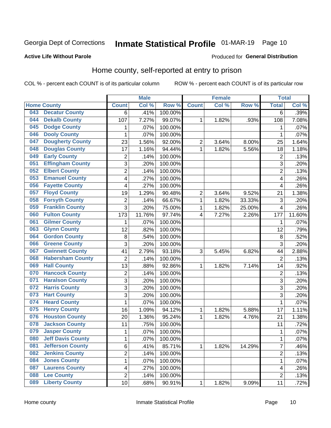## Inmate Statistical Profile 01-MAR-19 Page 10

#### **Active Life Without Parole**

#### Produced for General Distribution

### Home county, self-reported at entry to prison

COL % - percent each COUNT is of its particular column

|     |                          |                | <b>Male</b> |         |                | <b>Female</b> |        | <b>Total</b>   |        |
|-----|--------------------------|----------------|-------------|---------|----------------|---------------|--------|----------------|--------|
|     | <b>Home County</b>       | <b>Count</b>   | Col %       | Row %   | <b>Count</b>   | Col %         | Row %  | <b>Total</b>   | Col %  |
| 043 | <b>Decatur County</b>    | 6              | .41%        | 100.00% |                |               |        | $\overline{6}$ | .39%   |
| 044 | <b>Dekalb County</b>     | 107            | 7.27%       | 99.07%  | 1              | 1.82%         | .93%   | 108            | 7.08%  |
| 045 | <b>Dodge County</b>      | 1              | .07%        | 100.00% |                |               |        | 1              | .07%   |
| 046 | <b>Dooly County</b>      | 1              | .07%        | 100.00% |                |               |        | 1              | .07%   |
| 047 | <b>Dougherty County</b>  | 23             | 1.56%       | 92.00%  | $\overline{c}$ | 3.64%         | 8.00%  | 25             | 1.64%  |
| 048 | <b>Douglas County</b>    | 17             | 1.16%       | 94.44%  | 1              | 1.82%         | 5.56%  | 18             | 1.18%  |
| 049 | <b>Early County</b>      | $\overline{2}$ | .14%        | 100.00% |                |               |        | $\overline{2}$ | .13%   |
| 051 | <b>Effingham County</b>  | 3              | .20%        | 100.00% |                |               |        | 3              | .20%   |
| 052 | <b>Elbert County</b>     | $\overline{2}$ | .14%        | 100.00% |                |               |        | $\overline{2}$ | .13%   |
| 053 | <b>Emanuel County</b>    | 4              | .27%        | 100.00% |                |               |        | 4              | .26%   |
| 056 | <b>Fayette County</b>    | 4              | .27%        | 100.00% |                |               |        | 4              | .26%   |
| 057 | <b>Floyd County</b>      | 19             | 1.29%       | 90.48%  | 2              | 3.64%         | 9.52%  | 21             | 1.38%  |
| 058 | <b>Forsyth County</b>    | $\overline{2}$ | .14%        | 66.67%  | 1              | 1.82%         | 33.33% | 3              | .20%   |
| 059 | <b>Franklin County</b>   | $\overline{3}$ | .20%        | 75.00%  | $\mathbf{1}$   | 1.82%         | 25.00% | 4              | .26%   |
| 060 | <b>Fulton County</b>     | 173            | 11.76%      | 97.74%  | 4              | 7.27%         | 2.26%  | 177            | 11.60% |
| 061 | <b>Gilmer County</b>     | 1              | .07%        | 100.00% |                |               |        | 1              | .07%   |
| 063 | <b>Glynn County</b>      | 12             | .82%        | 100.00% |                |               |        | 12             | .79%   |
| 064 | <b>Gordon County</b>     | 8              | .54%        | 100.00% |                |               |        | $\,8\,$        | .52%   |
| 066 | <b>Greene County</b>     | 3              | .20%        | 100.00% |                |               |        | 3              | .20%   |
| 067 | <b>Gwinnett County</b>   | 41             | 2.79%       | 93.18%  | 3              | 5.45%         | 6.82%  | 44             | 2.88%  |
| 068 | <b>Habersham County</b>  | $\overline{2}$ | .14%        | 100.00% |                |               |        | $\overline{2}$ | .13%   |
| 069 | <b>Hall County</b>       | 13             | .88%        | 92.86%  | 1              | 1.82%         | 7.14%  | 14             | .92%   |
| 070 | <b>Hancock County</b>    | $\overline{2}$ | .14%        | 100.00% |                |               |        | $\overline{2}$ | .13%   |
| 071 | <b>Haralson County</b>   | 3              | .20%        | 100.00% |                |               |        | 3              | .20%   |
| 072 | <b>Harris County</b>     | 3              | .20%        | 100.00% |                |               |        | 3              | .20%   |
| 073 | <b>Hart County</b>       | 3              | .20%        | 100.00% |                |               |        | 3              | .20%   |
| 074 | <b>Heard County</b>      | 1              | .07%        | 100.00% |                |               |        | 1              | .07%   |
| 075 | <b>Henry County</b>      | 16             | 1.09%       | 94.12%  | 1              | 1.82%         | 5.88%  | 17             | 1.11%  |
| 076 | <b>Houston County</b>    | 20             | 1.36%       | 95.24%  | 1              | 1.82%         | 4.76%  | 21             | 1.38%  |
| 078 | <b>Jackson County</b>    | 11             | .75%        | 100.00% |                |               |        | 11             | .72%   |
| 079 | <b>Jasper County</b>     | 1              | .07%        | 100.00% |                |               |        | 1              | .07%   |
| 080 | <b>Jeff Davis County</b> | 1              | .07%        | 100.00% |                |               |        | 1              | .07%   |
| 081 | <b>Jefferson County</b>  | 6              | .41%        | 85.71%  | 1              | 1.82%         | 14.29% | 7              | .46%   |
| 082 | <b>Jenkins County</b>    | $\overline{2}$ | .14%        | 100.00% |                |               |        | $\overline{2}$ | .13%   |
| 084 | <b>Jones County</b>      | $\mathbf 1$    | .07%        | 100.00% |                |               |        | 1              | .07%   |
| 087 | <b>Laurens County</b>    | 4              | .27%        | 100.00% |                |               |        | 4              | .26%   |
| 088 | <b>Lee County</b>        | $\overline{2}$ | .14%        | 100.00% |                |               |        | 2              | .13%   |
| 089 | <b>Liberty County</b>    | 10             | .68%        | 90.91%  | $\mathbf 1$    | 1.82%         | 9.09%  | 11             | .72%   |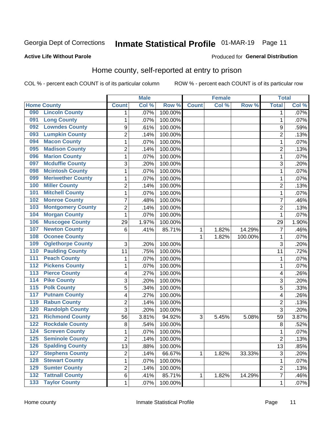## Inmate Statistical Profile 01-MAR-19 Page 11

#### **Active Life Without Parole**

#### Produced for General Distribution

## Home county, self-reported at entry to prison

COL % - percent each COUNT is of its particular column

|                  |                          |                           | <b>Male</b> |         | <b>Female</b> |       | <b>Total</b> |                           |         |
|------------------|--------------------------|---------------------------|-------------|---------|---------------|-------|--------------|---------------------------|---------|
|                  | <b>Home County</b>       | <b>Count</b>              | Col %       | Row %   | <b>Count</b>  | CoI%  | Row %        | <b>Total</b>              | Col %   |
| 090              | <b>Lincoln County</b>    | 1                         | .07%        | 100.00% |               |       |              | 1                         | .07%    |
| 091              | <b>Long County</b>       | 1                         | .07%        | 100.00% |               |       |              | 1                         | .07%    |
| 092              | <b>Lowndes County</b>    | $\boldsymbol{9}$          | .61%        | 100.00% |               |       |              | 9                         | .59%    |
| 093              | <b>Lumpkin County</b>    | $\overline{2}$            | .14%        | 100.00% |               |       |              | $\overline{2}$            | .13%    |
| 094              | <b>Macon County</b>      | $\mathbf 1$               | .07%        | 100.00% |               |       |              | 1                         | .07%    |
| 095              | <b>Madison County</b>    | $\overline{2}$            | .14%        | 100.00% |               |       |              | $\overline{2}$            | .13%    |
| 096              | <b>Marion County</b>     | $\mathbf 1$               | .07%        | 100.00% |               |       |              | 1                         | .07%    |
| 097              | <b>Mcduffie County</b>   | $\ensuremath{\mathsf{3}}$ | .20%        | 100.00% |               |       |              | 3                         | .20%    |
| 098              | <b>Mcintosh County</b>   | $\mathbf 1$               | .07%        | 100.00% |               |       |              | 1                         | .07%    |
| 099              | <b>Meriwether County</b> | $\mathbf 1$               | .07%        | 100.00% |               |       |              | 1                         | .07%    |
| 100              | <b>Miller County</b>     | $\overline{c}$            | .14%        | 100.00% |               |       |              | $\overline{2}$            | .13%    |
| 101              | <b>Mitchell County</b>   | $\mathbf{1}$              | .07%        | 100.00% |               |       |              | 1                         | .07%    |
| 102              | <b>Monroe County</b>     | 7                         | .48%        | 100.00% |               |       |              | 7                         | .46%    |
| 103              | <b>Montgomery County</b> | $\overline{2}$            | .14%        | 100.00% |               |       |              | $\overline{2}$            | .13%    |
| 104              | <b>Morgan County</b>     | $\mathbf 1$               | .07%        | 100.00% |               |       |              | 1                         | .07%    |
| 106              | <b>Muscogee County</b>   | 29                        | 1.97%       | 100.00% |               |       |              | 29                        | 1.90%   |
| 107              | <b>Newton County</b>     | 6                         | .41%        | 85.71%  | 1             | 1.82% | 14.29%       | 7                         | .46%    |
| 108              | <b>Oconee County</b>     |                           |             |         | 1             | 1.82% | 100.00%      | 1                         | $.07\%$ |
| 109              | <b>Oglethorpe County</b> | 3                         | .20%        | 100.00% |               |       |              | 3                         | .20%    |
| 110              | <b>Paulding County</b>   | 11                        | .75%        | 100.00% |               |       |              | 11                        | .72%    |
| 111              | <b>Peach County</b>      | $\mathbf 1$               | .07%        | 100.00% |               |       |              | 1                         | .07%    |
| $\overline{112}$ | <b>Pickens County</b>    | $\mathbf 1$               | .07%        | 100.00% |               |       |              | 1                         | .07%    |
| 113              | <b>Pierce County</b>     | 4                         | .27%        | 100.00% |               |       |              | 4                         | .26%    |
| 114              | <b>Pike County</b>       | 3                         | .20%        | 100.00% |               |       |              | 3                         | .20%    |
| $\overline{115}$ | <b>Polk County</b>       | 5                         | .34%        | 100.00% |               |       |              | 5                         | .33%    |
| 117              | <b>Putnam County</b>     | 4                         | .27%        | 100.00% |               |       |              | 4                         | .26%    |
| 119              | <b>Rabun County</b>      | $\overline{2}$            | .14%        | 100.00% |               |       |              | $\overline{2}$            | .13%    |
| 120              | <b>Randolph County</b>   | 3                         | .20%        | 100.00% |               |       |              | 3                         | .20%    |
| 121              | <b>Richmond County</b>   | 56                        | 3.81%       | 94.92%  | 3             | 5.45% | 5.08%        | 59                        | 3.87%   |
| 122              | <b>Rockdale County</b>   | 8                         | .54%        | 100.00% |               |       |              | 8                         | .52%    |
| 124              | <b>Screven County</b>    | 1                         | .07%        | 100.00% |               |       |              | 1                         | .07%    |
| 125              | <b>Seminole County</b>   | 2                         | .14%        | 100.00% |               |       |              | $\overline{c}$            | .13%    |
| 126              | <b>Spalding County</b>   | 13                        | .88%        | 100.00% |               |       |              | 13                        | .85%    |
| 127              | <b>Stephens County</b>   | $\overline{c}$            | .14%        | 66.67%  | 1             | 1.82% | 33.33%       | $\ensuremath{\mathsf{3}}$ | .20%    |
| 128              | <b>Stewart County</b>    | $\mathbf{1}$              | .07%        | 100.00% |               |       |              | 1                         | .07%    |
| 129              | <b>Sumter County</b>     | $\overline{\mathbf{c}}$   | .14%        | 100.00% |               |       |              | $\overline{2}$            | .13%    |
| 132              | <b>Tattnall County</b>   | 6                         | .41%        | 85.71%  | 1             | 1.82% | 14.29%       | $\overline{7}$            | .46%    |
| $\overline{133}$ | <b>Taylor County</b>     | $\mathbf{1}$              | .07%        | 100.00% |               |       |              | 1                         | .07%    |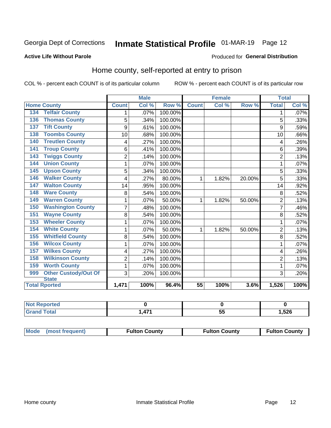## Inmate Statistical Profile 01-MAR-19 Page 12

#### **Active Life Without Parole**

#### Produced for General Distribution

### Home county, self-reported at entry to prison

COL % - percent each COUNT is of its particular column

|                                    |                | <b>Male</b> |         | <b>Female</b>   |       | <b>Total</b> |                |         |
|------------------------------------|----------------|-------------|---------|-----------------|-------|--------------|----------------|---------|
| <b>Home County</b>                 | <b>Count</b>   | Col %       | Row %   | <b>Count</b>    | Col % | Row %        | <b>Total</b>   | Col %   |
| <b>Telfair County</b><br>134       | 1              | .07%        | 100.00% |                 |       |              | 1              | $.07\%$ |
| <b>Thomas County</b><br>136        | 5              | .34%        | 100.00% |                 |       |              | 5              | .33%    |
| <b>Tift County</b><br>137          | 9              | .61%        | 100.00% |                 |       |              | 9              | .59%    |
| <b>Toombs County</b><br>138        | 10             | .68%        | 100.00% |                 |       |              | 10             | .66%    |
| <b>Treutlen County</b><br>140      | 4              | .27%        | 100.00% |                 |       |              | 4              | .26%    |
| <b>Troup County</b><br>141         | 6              | .41%        | 100.00% |                 |       |              | 6              | .39%    |
| <b>Twiggs County</b><br>143        | $\overline{2}$ | .14%        | 100.00% |                 |       |              | $\overline{2}$ | .13%    |
| <b>Union County</b><br>144         | 1              | .07%        | 100.00% |                 |       |              | 1              | .07%    |
| <b>Upson County</b><br>145         | 5              | .34%        | 100.00% |                 |       |              | 5              | .33%    |
| <b>Walker County</b><br>146        | 4              | .27%        | 80.00%  | 1               | 1.82% | 20.00%       | 5              | .33%    |
| <b>Walton County</b><br>147        | 14             | .95%        | 100.00% |                 |       |              | 14             | .92%    |
| <b>Ware County</b><br>148          | 8              | .54%        | 100.00% |                 |       |              | 8              | .52%    |
| <b>Warren County</b><br>149        | 1              | .07%        | 50.00%  | 1               | 1.82% | 50.00%       | $\overline{2}$ | .13%    |
| <b>Washington County</b><br>150    | 7              | .48%        | 100.00% |                 |       |              | 7              | .46%    |
| <b>Wayne County</b><br>151         | 8              | .54%        | 100.00% |                 |       |              | 8              | .52%    |
| <b>Wheeler County</b><br>153       | 1              | .07%        | 100.00% |                 |       |              | 1              | .07%    |
| <b>White County</b><br>154         | 1              | .07%        | 50.00%  | 1               | 1.82% | 50.00%       | $\overline{2}$ | .13%    |
| <b>Whitfield County</b><br>155     | 8              | .54%        | 100.00% |                 |       |              | 8              | .52%    |
| <b>Wilcox County</b><br>156        | 1              | .07%        | 100.00% |                 |       |              |                | .07%    |
| <b>Wilkes County</b><br>157        | 4              | .27%        | 100.00% |                 |       |              | 4              | .26%    |
| <b>Wilkinson County</b><br>158     | $\overline{2}$ | .14%        | 100.00% |                 |       |              | $\overline{2}$ | .13%    |
| <b>Worth County</b><br>159         | 1              | .07%        | 100.00% |                 |       |              | 1              | .07%    |
| <b>Other Custody/Out Of</b><br>999 | 3              | .20%        | 100.00% |                 |       |              | 3              | .20%    |
| <b>State</b>                       |                |             |         |                 |       |              |                |         |
| <b>Total Rported</b>               | 1,471          | 100%        | 96.4%   | $\overline{55}$ | 100%  | 3.6%         | 1,526          | 100%    |

| <b>Not Reported</b> |     |    |      |
|---------------------|-----|----|------|
| `otal               | . . | ັບ | ,526 |

| Mode (most frequent) | <b>Fulton County</b> | <b>Fulton County</b> | <b>Fulton County</b> |
|----------------------|----------------------|----------------------|----------------------|
|----------------------|----------------------|----------------------|----------------------|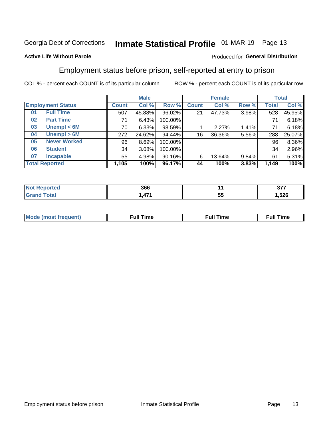## Inmate Statistical Profile 01-MAR-19 Page 13

#### **Active Life Without Parole**

#### Produced for General Distribution

### Employment status before prison, self-reported at entry to prison

COL % - percent each COUNT is of its particular column

|                           |              | <b>Male</b> |         |              | <b>Female</b> |       |       | <b>Total</b> |
|---------------------------|--------------|-------------|---------|--------------|---------------|-------|-------|--------------|
| <b>Employment Status</b>  | <b>Count</b> | Col %       | Row %   | <b>Count</b> | Col %         | Row % | Total | Col %        |
| <b>Full Time</b><br>01    | 507          | 45.88%      | 96.02%  | 21           | 47.73%        | 3.98% | 528   | 45.95%       |
| <b>Part Time</b><br>02    | 71           | 6.43%       | 100.00% |              |               |       | 71    | 6.18%        |
| Unempl $<$ 6M<br>03       | 70           | 6.33%       | 98.59%  |              | 2.27%         | 1.41% | 71    | 6.18%        |
| Unempl > 6M<br>04         | 272          | 24.62%      | 94.44%  | 16           | 36.36%        | 5.56% | 288   | 25.07%       |
| <b>Never Worked</b><br>05 | 96           | 8.69%       | 100.00% |              |               |       | 96    | 8.36%        |
| <b>Student</b><br>06      | 34           | 3.08%       | 100.00% |              |               |       | 34    | 2.96%        |
| <b>Incapable</b><br>07    | 55           | 4.98%       | 90.16%  | 6            | 13.64%        | 9.84% | 61    | 5.31%        |
| <b>Total Reported</b>     | 1,105        | 100%        | 96.17%  | 44           | 100%          | 3.83% | 1,149 | 100%         |

| 366             |    | 277<br><b>Pri</b> |
|-----------------|----|-------------------|
| 171<br>л<br>- . | ວະ | 1,526             |

| Mc | ∴ull | ----<br>ıme<br>w |
|----|------|------------------|
|    |      |                  |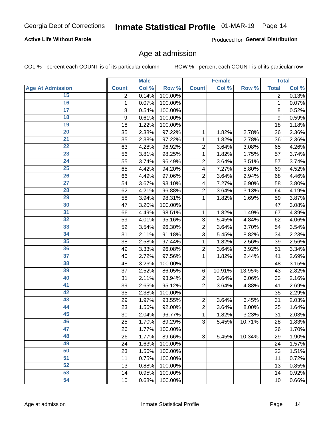#### **Active Life Without Parole**

Produced for General Distribution

### Age at admission

COL % - percent each COUNT is of its particular column

|                         |              | <b>Male</b> |         |                | <b>Female</b> |        |              | <b>Total</b> |
|-------------------------|--------------|-------------|---------|----------------|---------------|--------|--------------|--------------|
| <b>Age At Admission</b> | <b>Count</b> | Col %       | Row %   | <b>Count</b>   | Col %         | Row %  | <b>Total</b> | Col %        |
| 15                      | 2            | 0.14%       | 100.00% |                |               |        | 2            | 0.13%        |
| 16                      | 1            | 0.07%       | 100.00% |                |               |        | 1            | 0.07%        |
| $\overline{17}$         | 8            | 0.54%       | 100.00% |                |               |        | 8            | 0.52%        |
| 18                      | 9            | 0.61%       | 100.00% |                |               |        | 9            | 0.59%        |
| 19                      | 18           | 1.22%       | 100.00% |                |               |        | 18           | 1.18%        |
| $\overline{20}$         | 35           | 2.38%       | 97.22%  | 1              | 1.82%         | 2.78%  | 36           | 2.36%        |
| 21                      | 35           | 2.38%       | 97.22%  | 1              | 1.82%         | 2.78%  | 36           | 2.36%        |
| 22                      | 63           | 4.28%       | 96.92%  | $\overline{2}$ | 3.64%         | 3.08%  | 65           | 4.26%        |
| 23                      | 56           | 3.81%       | 98.25%  | 1              | 1.82%         | 1.75%  | 57           | 3.74%        |
| 24                      | 55           | 3.74%       | 96.49%  | $\overline{2}$ | 3.64%         | 3.51%  | 57           | 3.74%        |
| $\overline{25}$         | 65           | 4.42%       | 94.20%  | 4              | 7.27%         | 5.80%  | 69           | 4.52%        |
| 26                      | 66           | 4.49%       | 97.06%  | $\overline{2}$ | 3.64%         | 2.94%  | 68           | 4.46%        |
| $\overline{27}$         | 54           | 3.67%       | 93.10%  | 4              | 7.27%         | 6.90%  | 58           | 3.80%        |
| 28                      | 62           | 4.21%       | 96.88%  | $\overline{2}$ | 3.64%         | 3.13%  | 64           | 4.19%        |
| 29                      | 58           | 3.94%       | 98.31%  | 1              | 1.82%         | 1.69%  | 59           | 3.87%        |
| 30                      | 47           | 3.20%       | 100.00% |                |               |        | 47           | 3.08%        |
| $\overline{31}$         | 66           | 4.49%       | 98.51%  | 1              | 1.82%         | 1.49%  | 67           | 4.39%        |
| 32                      | 59           | 4.01%       | 95.16%  | 3              | 5.45%         | 4.84%  | 62           | 4.06%        |
| 33                      | 52           | 3.54%       | 96.30%  | $\overline{2}$ | 3.64%         | 3.70%  | 54           | 3.54%        |
| 34                      | 31           | 2.11%       | 91.18%  | 3              | 5.45%         | 8.82%  | 34           | 2.23%        |
| 35                      | 38           | 2.58%       | 97.44%  | 1              | 1.82%         | 2.56%  | 39           | 2.56%        |
| 36                      | 49           | 3.33%       | 96.08%  | $\overline{2}$ | 3.64%         | 3.92%  | 51           | 3.34%        |
| $\overline{37}$         | 40           | 2.72%       | 97.56%  | 1              | 1.82%         | 2.44%  | 41           | 2.69%        |
| 38                      | 48           | 3.26%       | 100.00% |                |               |        | 48           | 3.15%        |
| 39                      | 37           | 2.52%       | 86.05%  | 6              | 10.91%        | 13.95% | 43           | 2.82%        |
| 40                      | 31           | 2.11%       | 93.94%  | $\overline{2}$ | 3.64%         | 6.06%  | 33           | 2.16%        |
| 41                      | 39           | 2.65%       | 95.12%  | $\overline{2}$ | 3.64%         | 4.88%  | 41           | 2.69%        |
| 42                      | 35           | 2.38%       | 100.00% |                |               |        | 35           | 2.29%        |
| 43                      | 29           | 1.97%       | 93.55%  | $\overline{2}$ | 3.64%         | 6.45%  | 31           | 2.03%        |
| 44                      | 23           | 1.56%       | 92.00%  | $\overline{2}$ | 3.64%         | 8.00%  | 25           | 1.64%        |
| 45                      | 30           | 2.04%       | 96.77%  | 1              | 1.82%         | 3.23%  | 31           | 2.03%        |
| 46                      | 25           | 1.70%       | 89.29%  | 3              | 5.45%         | 10.71% | 28           | 1.83%        |
| 47                      | 26           | 1.77%       | 100.00% |                |               |        | 26           | 1.70%        |
| 48                      | 26           | 1.77%       | 89.66%  | 3              | 5.45%         | 10.34% | 29           | 1.90%        |
| 49                      | 24           | 1.63%       | 100.00% |                |               |        | 24           | 1.57%        |
| 50                      | 23           | 1.56%       | 100.00% |                |               |        | 23           | 1.51%        |
| $\overline{51}$         | 11           | 0.75%       | 100.00% |                |               |        | 11           | 0.72%        |
| 52                      | 13           | 0.88%       | 100.00% |                |               |        | 13           | 0.85%        |
| 53                      | 14           | 0.95%       | 100.00% |                |               |        | 14           | 0.92%        |
| 54                      | 10           | 0.68%       | 100.00% |                |               |        | 10           | 0.66%        |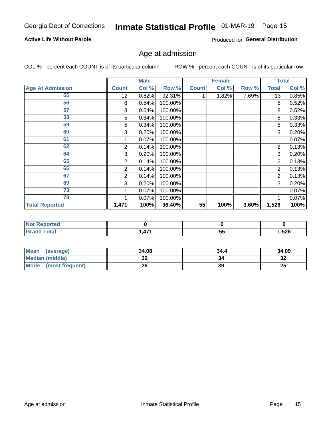#### **Active Life Without Parole**

Produced for General Distribution

## Age at admission

COL % - percent each COUNT is of its particular column

|                         |              | <b>Male</b> |         |              | <b>Female</b> |       |              | <b>Total</b> |
|-------------------------|--------------|-------------|---------|--------------|---------------|-------|--------------|--------------|
| <b>Age At Admission</b> | <b>Count</b> | Col %       | Row %   | <b>Count</b> | Col %         | Row % | <b>Total</b> | Col %        |
| 55                      | 12           | 0.82%       | 92.31%  |              | 1.82%         | 7.69% | 13           | 0.85%        |
| 56                      | 8            | 0.54%       | 100.00% |              |               |       | 8            | 0.52%        |
| 57                      | 8            | 0.54%       | 100.00% |              |               |       | 8            | 0.52%        |
| 58                      | 5            | 0.34%       | 100.00% |              |               |       | 5            | 0.33%        |
| 59                      | 5            | 0.34%       | 100.00% |              |               |       | 5            | 0.33%        |
| 60                      | 3            | 0.20%       | 100.00% |              |               |       | 3            | 0.20%        |
| 61                      |              | $0.07\%$    | 100.00% |              |               |       |              | 0.07%        |
| 62                      | 2            | 0.14%       | 100.00% |              |               |       | 2            | 0.13%        |
| 64                      | 3            | 0.20%       | 100.00% |              |               |       | 3            | 0.20%        |
| 65                      | 2            | 0.14%       | 100.00% |              |               |       | 2            | 0.13%        |
| 66                      | 2            | 0.14%       | 100.00% |              |               |       | 2            | 0.13%        |
| 67                      | 2            | 0.14%       | 100.00% |              |               |       | 2            | 0.13%        |
| 69                      | 3            | 0.20%       | 100.00% |              |               |       | 3            | 0.20%        |
| 73                      |              | 0.07%       | 100.00% |              |               |       |              | 0.07%        |
| 78                      |              | 0.07%       | 100.00% |              |               |       |              | 0.07%        |
| <b>Total Reported</b>   | 1,471        | 100%        | 96.40%  | 55           | 100%          | 3.60% | 1,526        | 100%         |

| <b>Not Reported</b> |          |           |        |
|---------------------|----------|-----------|--------|
| <b>Total</b>        | 47/<br>. | - -<br>JJ | 526, ا |

| <b>Mean</b><br>(average) | 34.08 | 34.4 | 34.09    |
|--------------------------|-------|------|----------|
| <b>Median (middle)</b>   | JZ    |      | ົ<br>-52 |
| Mode (most frequent)     | 26    | 39   | 25       |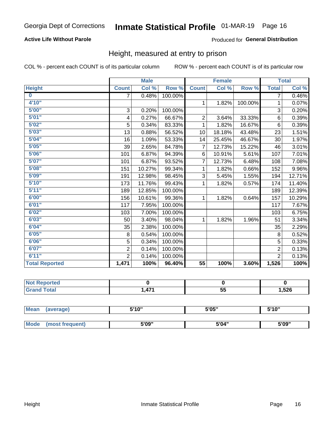#### **Active Life Without Parole**

#### Produced for General Distribution

### Height, measured at entry to prison

COL % - percent each COUNT is of its particular column

|                       |                | <b>Male</b> |         |                 | <b>Female</b> |         |                | <b>Total</b> |
|-----------------------|----------------|-------------|---------|-----------------|---------------|---------|----------------|--------------|
| <b>Height</b>         | <b>Count</b>   | Col %       | Row %   | <b>Count</b>    | Col %         | Row %   | <b>Total</b>   | Col %        |
| $\bf{0}$              | 7              | 0.48%       | 100.00% |                 |               |         | 7              | 0.46%        |
| 4'10"                 |                |             |         | $\mathbf{1}$    | 1.82%         | 100.00% | 1              | 0.07%        |
| 5'00''                | 3              | 0.20%       | 100.00% |                 |               |         | 3              | 0.20%        |
| 5'01"                 | 4              | 0.27%       | 66.67%  | $\overline{2}$  | 3.64%         | 33.33%  | 6              | 0.39%        |
| 5'02"                 | 5              | 0.34%       | 83.33%  | 1               | 1.82%         | 16.67%  | 6              | 0.39%        |
| 5'03''                | 13             | 0.88%       | 56.52%  | 10              | 18.18%        | 43.48%  | 23             | 1.51%        |
| 5'04"                 | 16             | 1.09%       | 53.33%  | 14              | 25.45%        | 46.67%  | 30             | 1.97%        |
| 5'05"                 | 39             | 2.65%       | 84.78%  | 7               | 12.73%        | 15.22%  | 46             | 3.01%        |
| 5'06''                | 101            | 6.87%       | 94.39%  | 6               | 10.91%        | 5.61%   | 107            | 7.01%        |
| 5'07''                | 101            | 6.87%       | 93.52%  | 7               | 12.73%        | 6.48%   | 108            | 7.08%        |
| 5'08''                | 151            | 10.27%      | 99.34%  | 1               | 1.82%         | 0.66%   | 152            | 9.96%        |
| 5'09''                | 191            | 12.98%      | 98.45%  | 3               | 5.45%         | 1.55%   | 194            | 12.71%       |
| 5'10''                | 173            | 11.76%      | 99.43%  | 1               | 1.82%         | 0.57%   | 174            | 11.40%       |
| 5'11"                 | 189            | 12.85%      | 100.00% |                 |               |         | 189            | 12.39%       |
| 6'00''                | 156            | 10.61%      | 99.36%  | 1               | 1.82%         | 0.64%   | 157            | 10.29%       |
| 6'01''                | 117            | 7.95%       | 100.00% |                 |               |         | 117            | 7.67%        |
| 6'02"                 | 103            | 7.00%       | 100.00% |                 |               |         | 103            | 6.75%        |
| 6'03''                | 50             | 3.40%       | 98.04%  | $\mathbf 1$     | 1.82%         | 1.96%   | 51             | 3.34%        |
| 6'04"                 | 35             | 2.38%       | 100.00% |                 |               |         | 35             | 2.29%        |
| 6'05"                 | 8              | 0.54%       | 100.00% |                 |               |         | 8              | 0.52%        |
| 6'06"                 | 5              | 0.34%       | 100.00% |                 |               |         | 5              | 0.33%        |
| 6'07''                | $\overline{2}$ | 0.14%       | 100.00% |                 |               |         | $\overline{2}$ | 0.13%        |
| 6'11''                | $\overline{2}$ | 0.14%       | 100.00% |                 |               |         | $\overline{2}$ | 0.13%        |
| <b>Total Reported</b> | 1,471          | 100%        | 96.40%  | $\overline{55}$ | 100%          | 3.60%   | 1,526          | 100%         |

| <b>Not Reported</b><br>" NOT 1. |     |              |       |
|---------------------------------|-----|--------------|-------|
| <b>Total</b>                    | A7' | --<br><br>v. | l,526 |

| <b>Mean</b> | (average)       | 5'10" | 5'05" | 5'10" |  |
|-------------|-----------------|-------|-------|-------|--|
|             |                 |       |       |       |  |
| Mode        | (most frequent) | 5'09" | 5'04" | 5'09" |  |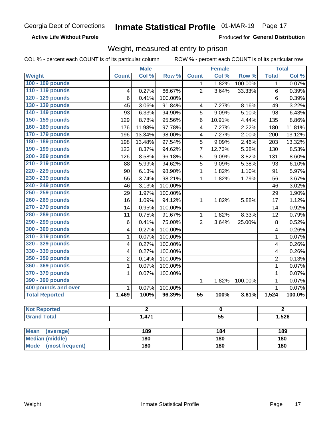#### **Active Life Without Parole**

Produced for General Distribution

### Weight, measured at entry to prison

COL % - percent each COUNT is of its particular column

|                                |              | <b>Male</b>    |         |                 | <b>Female</b>   |         |                | <b>Total</b> |  |
|--------------------------------|--------------|----------------|---------|-----------------|-----------------|---------|----------------|--------------|--|
| Weight                         | <b>Count</b> | Col %          | Row %   | <b>Count</b>    | Col %           | Row %   | <b>Total</b>   | Col %        |  |
| 100 - 109 pounds               |              |                |         | 1               | 1.82%           | 100.00% | 1              | 0.07%        |  |
| 110 - 119 pounds               | 4            | 0.27%          | 66.67%  | $\overline{2}$  | 3.64%           | 33.33%  | 6              | 0.39%        |  |
| 120 - 129 pounds               | 6            | 0.41%          | 100.00% |                 |                 |         | 6              | 0.39%        |  |
| 130 - 139 pounds               | 45           | 3.06%          | 91.84%  | $\overline{4}$  | 7.27%           | 8.16%   | 49             | 3.22%        |  |
| 140 - 149 pounds               | 93           | 6.33%          | 94.90%  | 5               | 9.09%           | 5.10%   | 98             | 6.43%        |  |
| 150 - 159 pounds               | 129          | 8.78%          | 95.56%  | 6               | 10.91%          | 4.44%   | 135            | 8.86%        |  |
| 160 - 169 pounds               | 176          | 11.98%         | 97.78%  | 4               | 7.27%           | 2.22%   | 180            | 11.81%       |  |
| 170 - 179 pounds               | 196          | 13.34%         | 98.00%  | 4               | 7.27%           | 2.00%   | 200            | 13.12%       |  |
| 180 - 189 pounds               | 198          | 13.48%         | 97.54%  | 5               | 9.09%           | 2.46%   | 203            | 13.32%       |  |
| 190 - 199 pounds               | 123          | 8.37%          | 94.62%  | $\overline{7}$  | 12.73%          | 5.38%   | 130            | 8.53%        |  |
| 200 - 209 pounds               | 126          | 8.58%          | 96.18%  | 5               | 9.09%           | 3.82%   | 131            | 8.60%        |  |
| 210 - 219 pounds               | 88           | 5.99%          | 94.62%  | 5               | 9.09%           | 5.38%   | 93             | 6.10%        |  |
| 220 - 229 pounds               | 90           | 6.13%          | 98.90%  | 1               | 1.82%           | 1.10%   | 91             | 5.97%        |  |
| 230 - 239 pounds               | 55           | 3.74%          | 98.21%  | 1               | 1.82%           | 1.79%   | 56             | 3.67%        |  |
| 240 - 249 pounds               | 46           | 3.13%          | 100.00% |                 |                 |         | 46             | 3.02%        |  |
| 250 - 259 pounds               | 29           | 1.97%          | 100.00% |                 |                 |         | 29             | 1.90%        |  |
| 260 - 269 pounds               | 16           | 1.09%          | 94.12%  | 1               | 1.82%           | 5.88%   | 17             | 1.12%        |  |
| 270 - 279 pounds               | 14           | 0.95%          | 100.00% |                 |                 |         | 14             | 0.92%        |  |
| 280 - 289 pounds               | 11           | 0.75%          | 91.67%  | 1               | 1.82%           | 8.33%   | 12             | 0.79%        |  |
| 290 - 299 pounds               | 6            | 0.41%          | 75.00%  | $\overline{2}$  | 3.64%           | 25.00%  | 8              | 0.52%        |  |
| 300 - 309 pounds               | 4            | 0.27%          | 100.00% |                 |                 |         | 4              | 0.26%        |  |
| 310 - 319 pounds               | 1            | 0.07%          | 100.00% |                 |                 |         | $\mathbf 1$    | 0.07%        |  |
| 320 - 329 pounds               | 4            | 0.27%          | 100.00% |                 |                 |         | 4              | 0.26%        |  |
| 330 - 339 pounds               | 4            | 0.27%          | 100.00% |                 |                 |         | 4              | 0.26%        |  |
| 350 - 359 pounds               | 2            | 0.14%          | 100.00% |                 |                 |         | $\overline{2}$ | 0.13%        |  |
| 360 - 369 pounds               | 1            | 0.07%          | 100.00% |                 |                 |         | 1              | 0.07%        |  |
| 370 - 379 pounds               | 1            | 0.07%          | 100.00% |                 |                 |         | 1              | 0.07%        |  |
| 390 - 399 pounds               |              |                |         | 1               | 1.82%           | 100.00% | $\mathbf 1$    | 0.07%        |  |
| 400 pounds and over            | 1            | 0.07%          | 100.00% |                 |                 |         | $\mathbf 1$    | 0.07%        |  |
| <b>Total Reported</b>          | 1,469        | 100%           | 96.39%  | $\overline{55}$ | 100%            | 3.61%   | 1,524          | 100.0%       |  |
| <b>Not Reported</b>            |              | $\overline{2}$ |         |                 | $\pmb{0}$       |         |                | 2.           |  |
| <b>Grand Total</b>             |              | 1,471          |         |                 | $\overline{55}$ |         |                | 1,526        |  |
|                                |              |                |         |                 |                 |         |                |              |  |
| <b>Mean</b><br>(average)       |              | 189            |         |                 | 184             |         |                | 189          |  |
| <b>Median (middle)</b>         |              | 180            |         |                 | 180             |         | 180            |              |  |
| <b>Mode</b><br>(most frequent) |              | 180            |         | 180             |                 |         | 180            |              |  |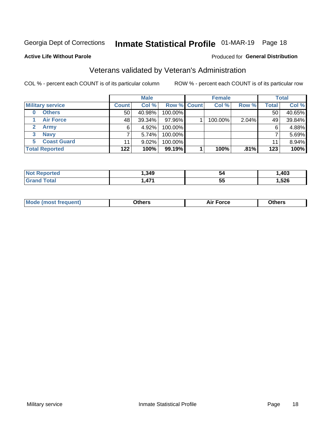## Inmate Statistical Profile 01-MAR-19 Page 18

#### **Active Life Without Parole**

#### Produced for General Distribution

## Veterans validated by Veteran's Administration

COL % - percent each COUNT is of its particular column

|                          |                 | <b>Male</b> |                    | <b>Female</b> |       |              | <b>Total</b> |
|--------------------------|-----------------|-------------|--------------------|---------------|-------|--------------|--------------|
| <b>Military service</b>  | <b>Count</b>    | Col %       | <b>Row % Count</b> | Col %         | Row % | <b>Total</b> | Col %        |
| <b>Others</b><br>0       | 50 <sub>1</sub> | 40.98%      | 100.00%            |               |       | 50           | 40.65%       |
| <b>Air Force</b>         | 48              | 39.34%      | 97.96%             | 100.00%       | 2.04% | 49           | 39.84%       |
| <b>Army</b>              | 6               | 4.92%       | 100.00%            |               |       | 6            | 4.88%        |
| <b>Navy</b><br>3         |                 | 5.74%       | 100.00%            |               |       |              | 5.69%        |
| <b>Coast Guard</b><br>5. | 11              | $9.02\%$    | 100.00%            |               |       | 11           | 8.94%        |
| <b>Total Reported</b>    | 122             | 100%        | $99.19\%$          | 100%          | .81%  | 123          | 100%         |

| тес          | ,349 | 54        | ,403       |
|--------------|------|-----------|------------|
| <b>Total</b> | 474  | --        | <b>EOC</b> |
|              | -    | <b>55</b> | ,040       |

| <b>Moo.</b> |
|-------------|
|-------------|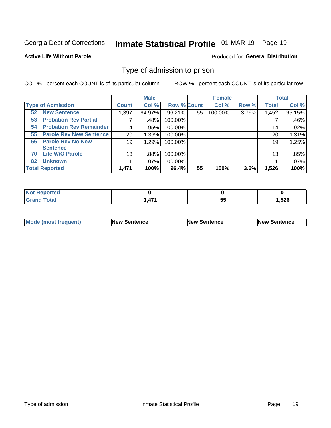## Inmate Statistical Profile 01-MAR-19 Page 19

#### **Active Life Without Parole**

#### Produced for General Distribution

### Type of admission to prison

COL % - percent each COUNT is of its particular column

|                                      |              | <b>Male</b> |                    |    | <b>Female</b> |       |              | <b>Total</b> |
|--------------------------------------|--------------|-------------|--------------------|----|---------------|-------|--------------|--------------|
| <b>Type of Admission</b>             | <b>Count</b> | Col %       | <b>Row % Count</b> |    | Col %         | Row % | <b>Total</b> | Col %        |
| <b>New Sentence</b><br>52            | 1,397        | 94.97%      | 96.21%             | 55 | 100.00%       | 3.79% | 1,452        | 95.15%       |
| <b>Probation Rev Partial</b><br>53   |              | .48%        | 100.00%            |    |               |       |              | .46%         |
| <b>Probation Rev Remainder</b><br>54 |              | 14<br>.95%  | 100.00%            |    |               |       | 14           | .92%         |
| <b>Parole Rev New Sentence</b><br>55 |              | 20<br>1.36% | 100.00%            |    |               |       | 20           | 1.31%        |
| <b>Parole Rev No New</b><br>56       |              | 19<br>1.29% | 100.00%            |    |               |       | 19           | 1.25%        |
| <b>Sentence</b>                      |              |             |                    |    |               |       |              |              |
| <b>Life W/O Parole</b><br>70         |              | .88%<br>13  | 100.00%            |    |               |       | 13           | .85%         |
| <b>Unknown</b><br>82                 |              | .07%        | 100.00%            |    |               |       |              | .07%         |
| <b>Total Reported</b>                | 1,471        | 100%        | 96.4%              | 55 | 100%          | 3.6%  | 1,526        | 100%         |

| <b>Not Reported</b>          |               |                     |        |
|------------------------------|---------------|---------------------|--------|
| <b>Total</b><br><b>Grand</b> | A74<br>- TI I | --<br>$\cdots$<br>ິ | 526، ، |

| Mode (most frequent) | <b>New Sentence</b> | <b>New Sentence</b> | <b>New Sentence</b> |
|----------------------|---------------------|---------------------|---------------------|
|                      |                     |                     |                     |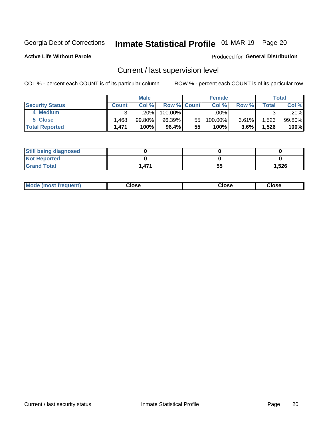## Inmate Statistical Profile 01-MAR-19 Page 20

**Active Life Without Parole** 

#### Produced for General Distribution

## Current / last supervision level

COL % - percent each COUNT is of its particular column

|                        |              | <b>Male</b> |                    |    | <b>Female</b> |         |       | Total  |
|------------------------|--------------|-------------|--------------------|----|---------------|---------|-------|--------|
| <b>Security Status</b> | <b>Count</b> | Col%        | <b>Row % Count</b> |    | Col %         | Row %   | Total | Col %  |
| 4 Medium               |              | ا 20%.      | 100.00%            |    | .00%          |         |       | .20%   |
| 5 Close                | .468         | $99.80\%$   | 96.39%             | 55 | 100.00%       | 3.61%   | 1,523 | 99.80% |
| <b>Total Reported</b>  | 1.471        | 100%        | 96.4%              | 55 | $100\%$       | $3.6\%$ | 1,526 | 100%   |

| <b>Still being diagnosed</b> |       |    |       |
|------------------------------|-------|----|-------|
| <b>Not Reported</b>          |       |    |       |
| <b>Grand Total</b>           | 1,471 | 55 | 1,526 |

| <b>AhoM</b><br>rreauent) | <b>Close</b> | Close | Close |
|--------------------------|--------------|-------|-------|
|                          |              |       |       |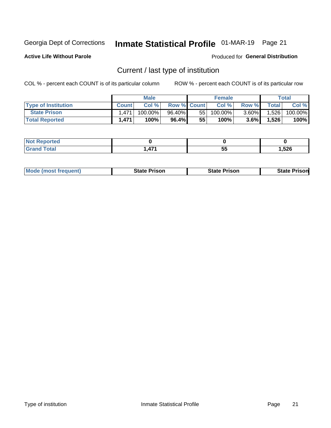## Inmate Statistical Profile 01-MAR-19 Page 21

**Active Life Without Parole** 

Produced for General Distribution

## Current / last type of institution

COL % - percent each COUNT is of its particular column

|                            |              | <b>Male</b> |                    |    | <b>Female</b> |          |              | <b>Total</b> |
|----------------------------|--------------|-------------|--------------------|----|---------------|----------|--------------|--------------|
| <b>Type of Institution</b> | <b>Count</b> | Col%        | <b>Row % Count</b> |    | Col %         | Row %    | <b>Total</b> | Col %        |
| <b>State Prison</b>        | 1.471        | 100.00%」    | 96.40%             | 55 | $100.00\%$    | $3.60\%$ | 1,526        | 100.00%      |
| <b>Total Reported</b>      | 1,471        | 100%        | $96.4\%$           | 55 | $100\%$ ,     | $3.6\%$  | 1,526        | 100%         |

| τеσ |               |    |       |
|-----|---------------|----|-------|
|     | $\rightarrow$ | ວະ | 1,526 |

|  | <b>Mode (most frequent)</b> | State Prison | <b>State Prison</b> | <b>State Prison</b> |
|--|-----------------------------|--------------|---------------------|---------------------|
|--|-----------------------------|--------------|---------------------|---------------------|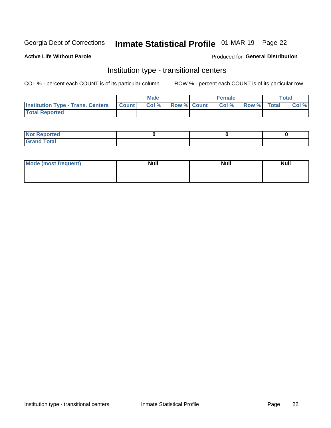## Inmate Statistical Profile 01-MAR-19 Page 22

#### **Active Life Without Parole**

#### Produced for General Distribution

## Institution type - transitional centers

COL % - percent each COUNT is of its particular column

|                                                  | <b>Male</b> |                    | <b>Female</b> |             | Total |
|--------------------------------------------------|-------------|--------------------|---------------|-------------|-------|
| <b>Institution Type - Trans. Centers Count  </b> | Col%        | <b>Row % Count</b> | Col %         | Row % Total | Col % |
| <b>Total Reported</b>                            |             |                    |               |             |       |

| Not Reported          |  |  |
|-----------------------|--|--|
| <b>Cotal</b><br>_____ |  |  |

| Mode (most frequent) | <b>Null</b> | <b>Null</b> | <b>Null</b> |
|----------------------|-------------|-------------|-------------|
|                      |             |             |             |
|                      |             |             |             |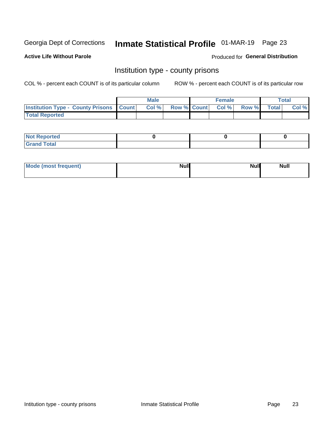## Inmate Statistical Profile 01-MAR-19 Page 23

**Active Life Without Parole** 

**Produced for General Distribution** 

### Institution type - county prisons

COL % - percent each COUNT is of its particular column

|                                                    | <b>Male</b> |       |  | <b>Female</b> |                          |             | <b>Total</b> |       |
|----------------------------------------------------|-------------|-------|--|---------------|--------------------------|-------------|--------------|-------|
| <b>Institution Type - County Prisons   Count  </b> |             | Col % |  |               | <b>Row % Count Col %</b> | Row % Total |              | Col % |
| <b>Total Reported</b>                              |             |       |  |               |                          |             |              |       |

| <b>Not</b><br>: Reported<br> |  |  |
|------------------------------|--|--|
| <b>Total</b><br>---          |  |  |

| Mode (most frequent) | <b>Null</b> | <b>Null</b><br><b>Null</b> |
|----------------------|-------------|----------------------------|
|                      |             |                            |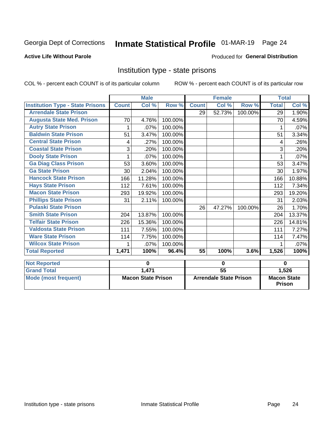## Inmate Statistical Profile 01-MAR-19 Page 24

#### **Active Life Without Parole**

#### Produced for General Distribution

### Institution type - state prisons

COL % - percent each COUNT is of its particular column

|                                         | <b>Male</b>               |        |                               |                 | <b>Female</b> |                                     | <b>Total</b> |        |
|-----------------------------------------|---------------------------|--------|-------------------------------|-----------------|---------------|-------------------------------------|--------------|--------|
| <b>Institution Type - State Prisons</b> | <b>Count</b>              | Col %  | Row %                         | <b>Count</b>    | Col %         | Row %                               | <b>Total</b> | Col %  |
| <b>Arrendale State Prison</b>           |                           |        |                               | 29              | 52.73%        | 100.00%                             | 29           | 1.90%  |
| <b>Augusta State Med. Prison</b>        | 70                        | 4.76%  | 100.00%                       |                 |               |                                     | 70           | 4.59%  |
| <b>Autry State Prison</b>               | 1                         | .07%   | 100.00%                       |                 |               |                                     | 1            | .07%   |
| <b>Baldwin State Prison</b>             | 51                        | 3.47%  | 100.00%                       |                 |               |                                     | 51           | 3.34%  |
| <b>Central State Prison</b>             | 4                         | .27%   | 100.00%                       |                 |               |                                     | 4            | .26%   |
| <b>Coastal State Prison</b>             | 3                         | .20%   | 100.00%                       |                 |               |                                     | 3            | .20%   |
| <b>Dooly State Prison</b>               |                           | .07%   | 100.00%                       |                 |               |                                     |              | .07%   |
| <b>Ga Diag Class Prison</b>             | 53                        | 3.60%  | 100.00%                       |                 |               |                                     | 53           | 3.47%  |
| <b>Ga State Prison</b>                  | 30                        | 2.04%  | 100.00%                       |                 |               |                                     | 30           | 1.97%  |
| <b>Hancock State Prison</b>             | 166                       | 11.28% | 100.00%                       |                 |               |                                     | 166          | 10.88% |
| <b>Hays State Prison</b>                | 112                       | 7.61%  | 100.00%                       |                 |               |                                     | 112          | 7.34%  |
| <b>Macon State Prison</b>               | 293                       | 19.92% | 100.00%                       |                 |               |                                     | 293          | 19.20% |
| <b>Phillips State Prison</b>            | 31                        | 2.11%  | 100.00%                       |                 |               |                                     | 31           | 2.03%  |
| <b>Pulaski State Prison</b>             |                           |        |                               | 26              | 47.27%        | 100.00%                             | 26           | 1.70%  |
| <b>Smith State Prison</b>               | 204                       | 13.87% | 100.00%                       |                 |               |                                     | 204          | 13.37% |
| <b>Telfair State Prison</b>             | 226                       | 15.36% | 100.00%                       |                 |               |                                     | 226          | 14.81% |
| <b>Valdosta State Prison</b>            | 111                       | 7.55%  | 100.00%                       |                 |               |                                     | 111          | 7.27%  |
| <b>Ware State Prison</b>                | 114                       | 7.75%  | 100.00%                       |                 |               |                                     | 114          | 7.47%  |
| <b>Wilcox State Prison</b>              | 1                         | .07%   | 100.00%                       |                 |               |                                     |              | .07%   |
| <b>Total Reported</b>                   | 1,471                     | 100%   | 96.4%                         | 55              | 100%          | 3.6%                                | 1,526        | 100%   |
| <b>Not Reported</b>                     | 0                         |        | $\bf{0}$                      |                 |               | $\bf{0}$                            |              |        |
| <b>Grand Total</b>                      |                           | 1,471  |                               | $\overline{55}$ |               |                                     | 1,526        |        |
| <b>Mode (most frequent)</b>             | <b>Macon State Prison</b> |        | <b>Arrendale State Prison</b> |                 |               | <b>Macon State</b><br><b>Prison</b> |              |        |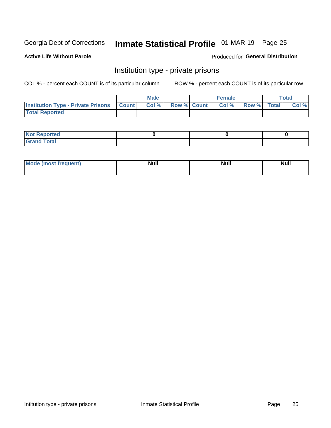## Inmate Statistical Profile 01-MAR-19 Page 25

**Active Life Without Parole** 

Produced for General Distribution

### Institution type - private prisons

COL % - percent each COUNT is of its particular column

|                                                 | <b>Male</b> |      |                    | <b>Female</b> |       |             | Total |       |
|-------------------------------------------------|-------------|------|--------------------|---------------|-------|-------------|-------|-------|
| <b>Institution Type - Private Prisons Count</b> |             | Col% | <b>Row % Count</b> |               | Col % | Row % Total |       | Col % |
| <b>Total Reported</b>                           |             |      |                    |               |       |             |       |       |

| Not Reported          |  |  |
|-----------------------|--|--|
| <b>Cotal</b><br>_____ |  |  |

| <b>Mo</b><br>frequent) | <b>Null</b> | <b>Null</b> | . . I *<br><b>IVUII</b> |
|------------------------|-------------|-------------|-------------------------|
|                        |             |             |                         |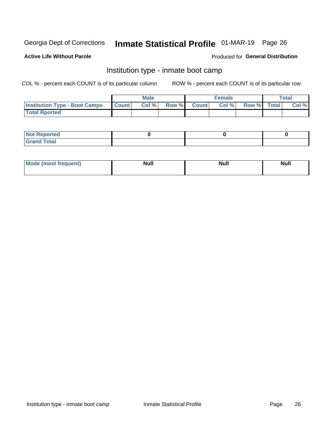## Inmate Statistical Profile 01-MAR-19 Page 26

#### **Active Life Without Parole**

#### Produced for General Distribution

### Institution type - inmate boot camp

COL % - percent each COUNT is of its particular column

|                                            | <b>Male</b> |      |                    | <b>Female</b> | <b>Total</b> |  |       |
|--------------------------------------------|-------------|------|--------------------|---------------|--------------|--|-------|
| <b>Institution Type - Boot Camps Count</b> |             | Col% | <b>Row % Count</b> | Col%          | Row % Total  |  | Col % |
| <b>Total Rported</b>                       |             |      |                    |               |              |  |       |

| <b>Not Reported</b>            |  |  |
|--------------------------------|--|--|
| <b>Total</b><br>C <sub>r</sub> |  |  |

| Mod<br>uamo | Nul.<br>$- - - - - -$ | <b>Null</b> | . .<br>uu.<br>------ |
|-------------|-----------------------|-------------|----------------------|
|             |                       |             |                      |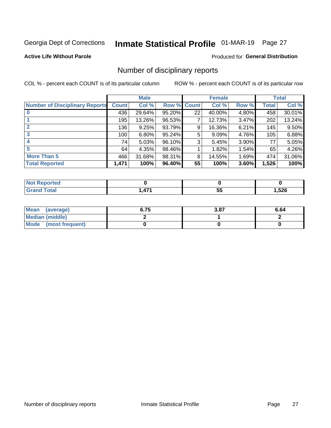## Inmate Statistical Profile 01-MAR-19 Page 27

**Active Life Without Parole** 

#### **Produced for General Distribution**

### Number of disciplinary reports

COL % - percent each COUNT is of its particular column

|                                       | <b>Male</b>  |          |        | <b>Female</b> |        |          | <b>Total</b> |        |
|---------------------------------------|--------------|----------|--------|---------------|--------|----------|--------------|--------|
| <b>Number of Disciplinary Reports</b> | <b>Count</b> | Col %    | Row %  | <b>Count</b>  | Col %  | Row %    | Total        | Col %  |
|                                       | 436          | 29.64%   | 95.20% | 22            | 40.00% | 4.80%    | 458          | 30.01% |
|                                       | 195          | 13.26%   | 96.53% | 7             | 12.73% | 3.47%    | 202          | 13.24% |
| 2                                     | 136          | 9.25%    | 93.79% | 9             | 16.36% | 6.21%    | 145          | 9.50%  |
| 3                                     | 100          | $6.80\%$ | 95.24% | 5             | 9.09%  | 4.76%    | 105          | 6.88%  |
|                                       | 74           | 5.03%    | 96.10% | 3             | 5.45%  | $3.90\%$ | 77           | 5.05%  |
| 5                                     | 64           | 4.35%    | 98.46% |               | 1.82%  | 1.54%    | 65           | 4.26%  |
| <b>More Than 5</b>                    | 466          | 31.68%   | 98.31% | 8             | 14.55% | 1.69%    | 474          | 31.06% |
| <b>Total Reported</b>                 | 1,471        | 100%     | 96.40% | 55            | 100%   | 3.60%    | 1,526        | 100%   |

| <b>NO</b><br>ueo |         |   |      |
|------------------|---------|---|------|
| Гоtal            | 171<br> | v | ,526 |

| Mean (average)         | 6.75 | 3.87 | 6.64 |
|------------------------|------|------|------|
| <b>Median (middle)</b> |      |      |      |
| Mode (most frequent)   |      |      |      |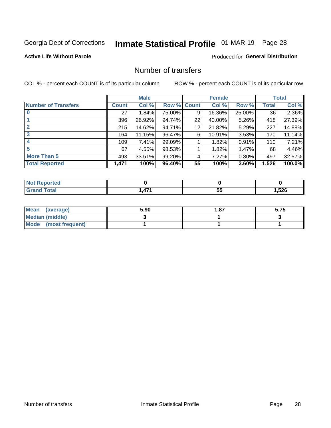## Inmate Statistical Profile 01-MAR-19 Page 28

#### **Active Life Without Parole**

#### **Produced for General Distribution**

### Number of transfers

COL % - percent each COUNT is of its particular column

|                            |         | <b>Male</b> |           |              | <b>Female</b> |          |              | <b>Total</b> |
|----------------------------|---------|-------------|-----------|--------------|---------------|----------|--------------|--------------|
| <b>Number of Transfers</b> | Count l | Col %       | Row %     | <b>Count</b> | Col %         | Row %    | <b>Total</b> | Col %        |
|                            | 27      | 1.84%       | 75.00%    | 9            | 16.36%        | 25.00%   | 36           | 2.36%        |
|                            | 396     | 26.92%      | 94.74%    | 22           | 40.00%        | 5.26%    | 418          | 27.39%       |
| $\mathbf{2}$               | 215     | 14.62%      | 94.71%    | 12           | 21.82%        | 5.29%    | 227          | 14.88%       |
| 3                          | 164     | 11.15%      | 96.47%    | 6            | 10.91%        | $3.53\%$ | 170          | 11.14%       |
|                            | 109     | 7.41%       | 99.09%    |              | 1.82%         | 0.91%    | 110          | 7.21%        |
| 5                          | 67      | 4.55%       | 98.53%    |              | 1.82%         | 1.47%    | 68           | 4.46%        |
| <b>More Than 5</b>         | 493     | 33.51%      | 99.20%    | 4            | 7.27%         | 0.80%    | 497          | 32.57%       |
| <b>Total Reported</b>      | 1,471   | 100%        | $96.40\%$ | 55           | 100%          | 3.60%    | 1,526        | 100.0%       |

| <b>orteg</b><br>NOT |          |          |       |
|---------------------|----------|----------|-------|
| <sup>-</sup> otal   | 171<br>. | --<br>JJ | 1,526 |

| Mean (average)         | 5.90 | 87. ا | 5.75 |
|------------------------|------|-------|------|
| <b>Median (middle)</b> |      |       |      |
| Mode (most frequent)   |      |       |      |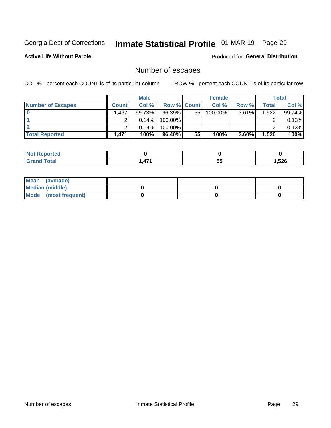## Inmate Statistical Profile 01-MAR-19 Page 29

**Active Life Without Parole** 

Produced for General Distribution

## Number of escapes

COL % - percent each COUNT is of its particular column

|                          | <b>Male</b>  |          |                    | <b>Female</b> |         |       | Total |        |
|--------------------------|--------------|----------|--------------------|---------------|---------|-------|-------|--------|
| <b>Number of Escapes</b> | <b>Count</b> | Col %    | <b>Row % Count</b> |               | Col %   | Row % | Total | Col %  |
|                          | I,467        | 99.73%   | 96.39%             | 55            | 100.00% | 3.61% | 1,522 | 99.74% |
|                          |              | $0.14\%$ | $100.00\%$         |               |         |       |       | 0.13%  |
|                          |              | 0.14%    | $100.00\%$         |               |         |       |       | 0.13%  |
| <b>Total Reported</b>    | 1.471        | 100%     | 96.40%             | 55            | 100%    | 3.60% | 1,526 | 100%   |

| <b>rted</b><br><b>NOT</b> |      |    |       |
|---------------------------|------|----|-------|
| <b>Total</b>              | 171  | БF | 1,526 |
| Grand                     | TI 1 | ◡  |       |

| Mean (average)       |  |  |
|----------------------|--|--|
| Median (middle)      |  |  |
| Mode (most frequent) |  |  |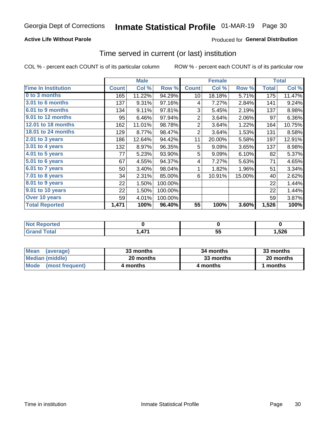#### **Active Life Without Parole**

#### Produced for General Distribution

### Time served in current (or last) institution

COL % - percent each COUNT is of its particular column

|                            |              | <b>Male</b> |           |                | <b>Female</b> |        |              | <b>Total</b> |
|----------------------------|--------------|-------------|-----------|----------------|---------------|--------|--------------|--------------|
| <b>Time In Institution</b> | <b>Count</b> | Col %       | Row %     | <b>Count</b>   | Col %         | Row %  | <b>Total</b> | Col %        |
| 0 to 3 months              | 165          | 11.22%      | 94.29%    | 10             | 18.18%        | 5.71%  | 175          | 11.47%       |
| <b>3.01 to 6 months</b>    | 137          | 9.31%       | 97.16%    | 4              | 7.27%         | 2.84%  | 141          | 9.24%        |
| 6.01 to 9 months           | 134          | 9.11%       | 97.81%    | 3              | 5.45%         | 2.19%  | 137          | 8.98%        |
| 9.01 to 12 months          | 95           | 6.46%       | 97.94%    | $\overline{2}$ | 3.64%         | 2.06%  | 97           | 6.36%        |
| 12.01 to 18 months         | 162          | 11.01%      | 98.78%    | $\overline{2}$ | 3.64%         | 1.22%  | 164          | 10.75%       |
| <b>18.01 to 24 months</b>  | 129          | 8.77%       | 98.47%    | $\overline{2}$ | 3.64%         | 1.53%  | 131          | 8.58%        |
| $2.01$ to 3 years          | 186          | 12.64%      | 94.42%    | 11             | 20.00%        | 5.58%  | 197          | 12.91%       |
| $3.01$ to 4 years          | 132          | 8.97%       | 96.35%    | 5              | 9.09%         | 3.65%  | 137          | 8.98%        |
| 4.01 to 5 years            | 77           | 5.23%       | 93.90%    | 5              | 9.09%         | 6.10%  | 82           | 5.37%        |
| 5.01 to 6 years            | 67           | 4.55%       | 94.37%    | 4              | 7.27%         | 5.63%  | 71           | 4.65%        |
| 6.01 to 7 years            | 50           | 3.40%       | 98.04%    | 1              | 1.82%         | 1.96%  | 51           | 3.34%        |
| 7.01 to 8 years            | 34           | 2.31%       | 85.00%    | 6              | 10.91%        | 15.00% | 40           | 2.62%        |
| 8.01 to 9 years            | 22           | 1.50%       | 100.00%   |                |               |        | 22           | 1.44%        |
| 9.01 to 10 years           | 22           | 1.50%       | 100.00%   |                |               |        | 22           | 1.44%        |
| Over 10 years              | 59           | 4.01%       | 100.00%   |                |               |        | 59           | 3.87%        |
| <b>Total Reported</b>      | 1,471        | 100%        | $96.40\%$ | 55             | 100%          | 3.60%  | 1,526        | 100%         |

| <b>Not Reported</b> |     |                 |      |
|---------------------|-----|-----------------|------|
| $T0$ tal            | 171 | - -<br>. .<br>◡ | ,526 |

| <b>Mean</b><br>(average) | 33 months | 34 months | 33 months |
|--------------------------|-----------|-----------|-----------|
| Median (middle)          | 20 months | 33 months | 20 months |
| Mode (most frequent)     | 4 months  | 4 months  | 1 months  |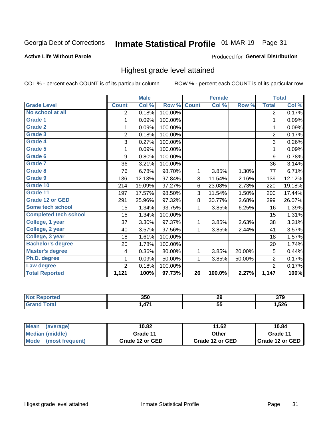## Inmate Statistical Profile 01-MAR-19 Page 31

#### **Active Life Without Parole**

#### Produced for General Distribution

### Highest grade level attained

COL % - percent each COUNT is of its particular column

|                              |                | <b>Male</b> |         |                 | <b>Female</b> |        |                | <b>Total</b> |
|------------------------------|----------------|-------------|---------|-----------------|---------------|--------|----------------|--------------|
| <b>Grade Level</b>           | <b>Count</b>   | Col %       | Row %   | <b>Count</b>    | Col %         | Row %  | <b>Total</b>   | Col %        |
| No school at all             | 2              | 0.18%       | 100.00% |                 |               |        | $\overline{2}$ | 0.17%        |
| <b>Grade 1</b>               | 1              | 0.09%       | 100.00% |                 |               |        | 1              | 0.09%        |
| <b>Grade 2</b>               | 1              | 0.09%       | 100.00% |                 |               |        | 1              | 0.09%        |
| <b>Grade 3</b>               | $\overline{2}$ | 0.18%       | 100.00% |                 |               |        | $\overline{2}$ | 0.17%        |
| Grade 4                      | 3              | 0.27%       | 100.00% |                 |               |        | 3              | 0.26%        |
| Grade 5                      | 1              | 0.09%       | 100.00% |                 |               |        | 1              | 0.09%        |
| Grade 6                      | 9              | 0.80%       | 100.00% |                 |               |        | 9              | 0.78%        |
| Grade 7                      | 36             | 3.21%       | 100.00% |                 |               |        | 36             | 3.14%        |
| <b>Grade 8</b>               | 76             | 6.78%       | 98.70%  | 1               | 3.85%         | 1.30%  | 77             | 6.71%        |
| Grade 9                      | 136            | 12.13%      | 97.84%  | 3               | 11.54%        | 2.16%  | 139            | 12.12%       |
| Grade 10                     | 214            | 19.09%      | 97.27%  | 6               | 23.08%        | 2.73%  | 220            | 19.18%       |
| Grade 11                     | 197            | 17.57%      | 98.50%  | 3               | 11.54%        | 1.50%  | 200            | 17.44%       |
| <b>Grade 12 or GED</b>       | 291            | 25.96%      | 97.32%  | 8               | 30.77%        | 2.68%  | 299            | 26.07%       |
| Some tech school             | 15             | 1.34%       | 93.75%  | 1               | 3.85%         | 6.25%  | 16             | 1.39%        |
| <b>Completed tech school</b> | 15             | 1.34%       | 100.00% |                 |               |        | 15             | 1.31%        |
| College, 1 year              | 37             | 3.30%       | 97.37%  | 1               | 3.85%         | 2.63%  | 38             | 3.31%        |
| College, 2 year              | 40             | 3.57%       | 97.56%  | 1               | 3.85%         | 2.44%  | 41             | 3.57%        |
| College, 3 year              | 18             | 1.61%       | 100.00% |                 |               |        | 18             | 1.57%        |
| <b>Bachelor's degree</b>     | 20             | 1.78%       | 100.00% |                 |               |        | 20             | 1.74%        |
| <b>Master's degree</b>       | 4              | 0.36%       | 80.00%  | 1               | 3.85%         | 20.00% | 5              | 0.44%        |
| Ph.D. degree                 | 1              | 0.09%       | 50.00%  | 1               | 3.85%         | 50.00% | $\overline{2}$ | 0.17%        |
| Law degree                   | $\overline{2}$ | 0.18%       | 100.00% |                 |               |        | $\overline{2}$ | 0.17%        |
| <b>Total Reported</b>        | 1,121          | 100%        | 97.73%  | $\overline{26}$ | 100.0%        | 2.27%  | 1,147          | 100%         |

| rtea<br>NO  | 350        | 29 | ^¬^<br>ง เ ฮ |
|-------------|------------|----|--------------|
| <b>Utal</b> | A74<br>. . | ູບ | ,526         |

| <b>Mean</b><br>(average) | 10.82           | 11.62           | 10.84           |
|--------------------------|-----------------|-----------------|-----------------|
| <b>Median (middle)</b>   | Grade 11        | Other           | Grade 11        |
| Mode<br>(most frequent)  | Grade 12 or GED | Grade 12 or GED | Grade 12 or GED |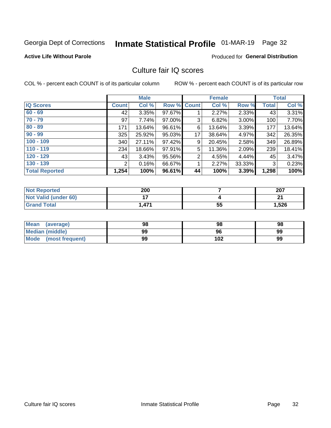## Inmate Statistical Profile 01-MAR-19 Page 32

#### **Active Life Without Parole**

#### **Produced for General Distribution**

## Culture fair IQ scores

COL % - percent each COUNT is of its particular column

|                       |              | <b>Male</b> |                    |                | <b>Female</b> |          |              | <b>Total</b> |
|-----------------------|--------------|-------------|--------------------|----------------|---------------|----------|--------------|--------------|
| <b>IQ Scores</b>      | <b>Count</b> | Col %       | <b>Row % Count</b> |                | Col %         | Row %    | <b>Total</b> | Col %        |
| $60 - 69$             | 42           | 3.35%       | 97.67%             |                | 2.27%         | 2.33%    | 43           | 3.31%        |
| $70 - 79$             | 97           | 7.74%       | 97.00%             | 3              | 6.82%         | $3.00\%$ | 100          | 7.70%        |
| $80 - 89$             | 171          | 13.64%      | 96.61%             | 6              | 13.64%        | 3.39%    | 177          | 13.64%       |
| $90 - 99$             | 325          | 25.92%      | 95.03%             | 17             | 38.64%        | 4.97%    | 342          | 26.35%       |
| $100 - 109$           | 340          | 27.11%      | 97.42%             | 9              | 20.45%        | 2.58%    | 349          | 26.89%       |
| $110 - 119$           | 234          | 18.66%      | 97.91%             | 5              | 11.36%        | 2.09%    | 239          | 18.41%       |
| $120 - 129$           | 43           | 3.43%       | 95.56%             | $\overline{2}$ | 4.55%         | 4.44%    | 45           | 3.47%        |
| $130 - 139$           | 2            | 0.16%       | 66.67%             | 1              | 2.27%         | 33.33%   | 3            | 0.23%        |
| <b>Total Reported</b> | 1,254        | 100%        | 96.61%             | 44             | 100%          | 3.39%    | 1,298        | 100%         |

| <b>Not Reported</b>  | 200   |    | 207   |
|----------------------|-------|----|-------|
| Not Valid (under 60) |       |    | n.    |
| <b>Grand Total</b>   | 1,471 | 55 | 1,526 |

| <b>Mean</b><br>(average) | 98 | 98  | 98 |
|--------------------------|----|-----|----|
| Median (middle)          | 99 | 96  | 99 |
| Mode (most frequent)     | 99 | 102 | 99 |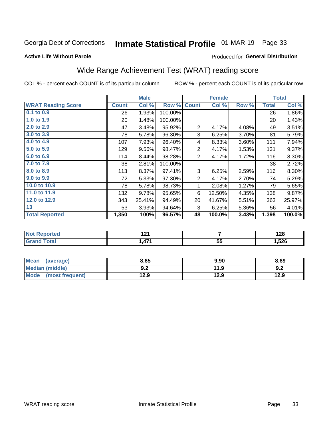## Inmate Statistical Profile 01-MAR-19 Page 33

#### **Active Life Without Parole**

#### Produced for General Distribution

## Wide Range Achievement Test (WRAT) reading score

COL % - percent each COUNT is of its particular column

|                           |                 | <b>Male</b> |         |                 | <b>Female</b> |       |              | <b>Total</b> |
|---------------------------|-----------------|-------------|---------|-----------------|---------------|-------|--------------|--------------|
| <b>WRAT Reading Score</b> | <b>Count</b>    | Col %       | Row %   | <b>Count</b>    | Col %         | Row % | <b>Total</b> | Col %        |
| $0.1$ to $0.9$            | 26              | 1.93%       | 100.00% |                 |               |       | 26           | 1.86%        |
| 1.0 to 1.9                | 20 <sup>1</sup> | 1.48%       | 100.00% |                 |               |       | 20           | 1.43%        |
| 2.0 to 2.9                | 47              | 3.48%       | 95.92%  | $\overline{2}$  | 4.17%         | 4.08% | 49           | 3.51%        |
| 3.0 to 3.9                | 78              | 5.78%       | 96.30%  | 3               | 6.25%         | 3.70% | 81           | 5.79%        |
| 4.0 to 4.9                | 107             | 7.93%       | 96.40%  | 4               | 8.33%         | 3.60% | 111          | 7.94%        |
| 5.0 to 5.9                | 129             | 9.56%       | 98.47%  | $\overline{2}$  | 4.17%         | 1.53% | 131          | 9.37%        |
| $6.0$ to $6.9$            | 114             | 8.44%       | 98.28%  | $\overline{2}$  | 4.17%         | 1.72% | 116          | 8.30%        |
| 7.0 to 7.9                | 38              | 2.81%       | 100.00% |                 |               |       | 38           | 2.72%        |
| 8.0 to 8.9                | 113             | 8.37%       | 97.41%  | 3               | 6.25%         | 2.59% | 116          | 8.30%        |
| 9.0 to 9.9                | 72              | 5.33%       | 97.30%  | $\overline{2}$  | 4.17%         | 2.70% | 74           | 5.29%        |
| 10.0 to 10.9              | 78              | 5.78%       | 98.73%  | 1               | 2.08%         | 1.27% | 79           | 5.65%        |
| 11.0 to 11.9              | 132             | 9.78%       | 95.65%  | 6               | 12.50%        | 4.35% | 138          | 9.87%        |
| 12.0 to 12.9              | 343             | 25.41%      | 94.49%  | 20 <sup>2</sup> | 41.67%        | 5.51% | 363          | 25.97%       |
| 13                        | 53              | 3.93%       | 94.64%  | 3               | 6.25%         | 5.36% | 56           | 4.01%        |
| <b>Total Reported</b>     | 1,350           | 100%        | 96.57%  | 48              | 100.0%        | 3.43% | 1,398        | 100.0%       |
|                           |                 |             |         |                 |               |       |              |              |
|                           |                 |             |         |                 |               |       |              |              |

| Reported<br>  NOt | ∗ ∩<br>$\sim$ $\sim$ $\sim$ |         | 190<br>14O |
|-------------------|-----------------------------|---------|------------|
| ſotal<br>Gra      | 171<br>л<br><u>ти, </u>     | 55<br>◡ | 526, ا     |

| Mean<br>(average)       | 8.65       | 9.90 | 8.69 |
|-------------------------|------------|------|------|
| Median (middle)         | ר ה<br>Y.Z | 11.9 | 9.2  |
| Mode<br>(most frequent) | 12.9       | 12.9 | 12.9 |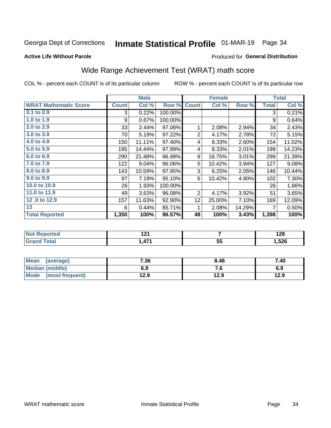## Inmate Statistical Profile 01-MAR-19 Page 34

#### **Active Life Without Parole**

#### Produced for General Distribution

## Wide Range Achievement Test (WRAT) math score

COL % - percent each COUNT is of its particular column

|                              |              | <b>Male</b> |         |                | <b>Female</b> |        |              | <b>Total</b> |
|------------------------------|--------------|-------------|---------|----------------|---------------|--------|--------------|--------------|
| <b>WRAT Mathematic Score</b> | <b>Count</b> | Col %       | Row %   | <b>Count</b>   | Col %         | Row %  | <b>Total</b> | Col %        |
| $0.1$ to $0.9$               | 3            | 0.22%       | 100.00% |                |               |        | 3            | 0.21%        |
| 1.0 to 1.9                   | 9            | 0.67%       | 100.00% |                |               |        | 9            | 0.64%        |
| 2.0 to 2.9                   | 33           | 2.44%       | 97.06%  | 1              | 2.08%         | 2.94%  | 34           | 2.43%        |
| 3.0 to 3.9                   | 70           | 5.19%       | 97.22%  | $\overline{2}$ | 4.17%         | 2.78%  | 72           | 5.15%        |
| 4.0 to 4.9                   | 150          | 11.11%      | 97.40%  | 4              | 8.33%         | 2.60%  | 154          | 11.02%       |
| 5.0 to 5.9                   | 195          | 14.44%      | 97.99%  | 4              | 8.33%         | 2.01%  | 199          | 14.23%       |
| 6.0 to 6.9                   | 290          | 21.48%      | 96.99%  | 9              | 18.75%        | 3.01%  | 299          | 21.39%       |
| 7.0 to 7.9                   | 122          | 9.04%       | 96.06%  | 5              | 10.42%        | 3.94%  | 127          | 9.08%        |
| 8.0 to 8.9                   | 143          | 10.59%      | 97.95%  | 3              | 6.25%         | 2.05%  | 146          | 10.44%       |
| 9.0 to 9.9                   | 97           | 7.19%       | 95.10%  | 5              | 10.42%        | 4.90%  | 102          | 7.30%        |
| 10.0 to 10.9                 | 26           | 1.93%       | 100.00% |                |               |        | 26           | 1.86%        |
| 11.0 to 11.9                 | 49           | 3.63%       | 96.08%  | $\overline{2}$ | 4.17%         | 3.92%  | 51           | 3.65%        |
| 12.0 to 12.9                 | 157          | 11.63%      | 92.90%  | 12             | 25.00%        | 7.10%  | 169          | 12.09%       |
| 13                           | 6            | 0.44%       | 85.71%  | 1              | 2.08%         | 14.29% | 7            | 0.50%        |
| <b>Total Reported</b>        | 1,350        | 100%        | 96.57%  | 48             | 100%          | 3.43%  | 1,398        | 100%         |
|                              |              |             |         |                |               |        |              |              |
|                              |              |             |         |                |               |        |              |              |

| <b>Not</b>   | . .      |         | 0 מ    |
|--------------|----------|---------|--------|
| Reported     | <u>.</u> |         | 140    |
| <b>cotal</b> | 474      | 55<br>◡ | 526, ا |

| <b>Mean</b><br>(average)       | 7.36 | 8.46 | 7.40 |
|--------------------------------|------|------|------|
| Median (middle)                | 6.9  | 7. U | 6.9  |
| <b>Mode</b><br>(most frequent) | 12.9 | 12.9 | 12.9 |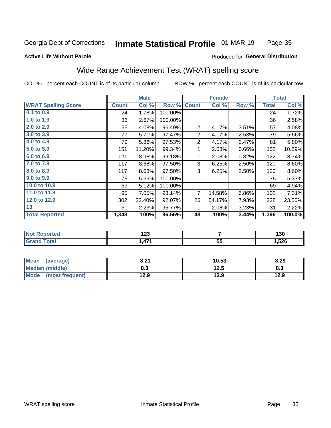#### Inmate Statistical Profile 01-MAR-19 Page 35

#### **Active Life Without Parole**

#### Produced for General Distribution

## Wide Range Achievement Test (WRAT) spelling score

COL % - percent each COUNT is of its particular column

|                            |              | <b>Male</b> |         |                | <b>Female</b>   |       |              | <b>Total</b> |
|----------------------------|--------------|-------------|---------|----------------|-----------------|-------|--------------|--------------|
| <b>WRAT Spelling Score</b> | <b>Count</b> | Col %       | Row %   | <b>Count</b>   | Col %           | Row % | <b>Total</b> | Col %        |
| 0.1 to 0.9                 | 24           | 1.78%       | 100.00% |                |                 |       | 24           | 1.72%        |
| 1.0 to 1.9                 | 36           | 2.67%       | 100.00% |                |                 |       | 36           | 2.58%        |
| 2.0 to 2.9                 | 55           | 4.08%       | 96.49%  | $\overline{2}$ | 4.17%           | 3.51% | 57           | 4.08%        |
| 3.0 to 3.9                 | 77           | 5.71%       | 97.47%  | $\overline{2}$ | 4.17%           | 2.53% | 79           | 5.66%        |
| 4.0 to 4.9                 | 79           | 5.86%       | 97.53%  | $\overline{2}$ | 4.17%           | 2.47% | 81           | 5.80%        |
| 5.0 to 5.9                 | 151          | 11.20%      | 99.34%  | 1              | 2.08%           | 0.66% | 152          | 10.89%       |
| 6.0 to 6.9                 | 121          | 8.98%       | 99.18%  | 1              | 2.08%           | 0.82% | 122          | 8.74%        |
| 7.0 to 7.9                 | 117          | 8.68%       | 97.50%  | 3              | 6.25%           | 2.50% | 120          | 8.60%        |
| 8.0 to 8.9                 | 117          | 8.68%       | 97.50%  | 3              | 6.25%           | 2.50% | 120          | 8.60%        |
| 9.0 to 9.9                 | 75           | 5.56%       | 100.00% |                |                 |       | 75           | 5.37%        |
| 10.0 to 10.9               | 69           | 5.12%       | 100.00% |                |                 |       | 69           | 4.94%        |
| 11.0 to 11.9               | 95           | 7.05%       | 93.14%  | $\overline{7}$ | 14.58%          | 6.86% | 102          | 7.31%        |
| 12.0 to 12.9               | 302          | 22.40%      | 92.07%  | 26             | 54.17%          | 7.93% | 328          | 23.50%       |
| 13                         | 30           | 2.23%       | 96.77%  | 1              | 2.08%           | 3.23% | 31           | 2.22%        |
| <b>Total Reported</b>      | 1,348        | 100%        | 96.56%  | 48             | 100%            | 3.44% | 1,396        | 100.0%       |
|                            |              |             |         |                |                 |       |              |              |
| <b>Not Reported</b>        |              | 123         |         |                | $\overline{7}$  |       |              | 130          |
| <b>Grand Total</b>         |              | 1,471       |         |                | $\overline{55}$ |       |              | 1,526        |

| Mean (average)       | 8.21 | 10.53 | 8.29 |
|----------------------|------|-------|------|
| Median (middle)      | 8.3  | 12.5  | 8.3  |
| Mode (most frequent) | 12.9 | 12.9  | 12.9 |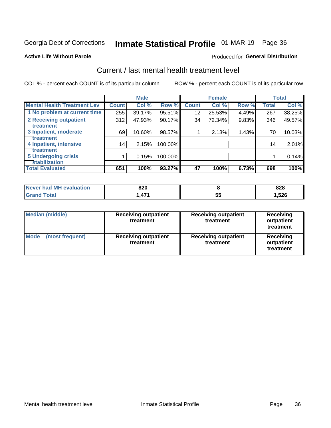## Inmate Statistical Profile 01-MAR-19 Page 36

#### **Active Life Without Parole**

#### Produced for General Distribution

## Current / last mental health treatment level

COL % - percent each COUNT is of its particular column

|                                    |              | <b>Male</b> |           |                 | <b>Female</b> |       |              | <b>Total</b> |
|------------------------------------|--------------|-------------|-----------|-----------------|---------------|-------|--------------|--------------|
| <b>Mental Health Treatment Lev</b> | <b>Count</b> | Col %       | Row %     | <b>Count</b>    | Col%          | Row % | <b>Total</b> | Col %        |
| 1 No problem at current time       | 255          | 39.17%      | 95.51%    | 12              | 25.53%        | 4.49% | 267          | 38.25%       |
| 2 Receiving outpatient             | 312          | 47.93%      | $90.17\%$ | 34 <sup>1</sup> | 72.34%        | 9.83% | 346          | 49.57%       |
| <b>Treatment</b>                   |              |             |           |                 |               |       |              |              |
| 3 Inpatient, moderate              | 69           | 10.60%      | 98.57%    |                 | 2.13%         | 1.43% | 70           | 10.03%       |
| Treatment                          |              |             |           |                 |               |       |              |              |
| 4 Inpatient, intensive             | 14           | 2.15%       | 100.00%   |                 |               |       | 14           | 2.01%        |
| Treatment                          |              |             |           |                 |               |       |              |              |
| <b>5 Undergoing crisis</b>         |              | 0.15%       | 100.00%   |                 |               |       |              | 0.14%        |
| <b>stabilization</b>               |              |             |           |                 |               |       |              |              |
| <b>Total Evaluated</b>             | 651          | 100%        | 93.27%    | 47              | 100%          | 6.73% | 698          | 100%         |

| <b>evaluation</b><br><b>Never had MH</b> | 820 |          | 828  |
|------------------------------------------|-----|----------|------|
| int                                      | 17, | --<br>Ju | ,526 |

| <b>Median (middle)</b>  | <b>Receiving outpatient</b><br>treatment | <b>Receiving outpatient</b><br>treatment | <b>Receiving</b><br>outpatient<br>treatment |  |
|-------------------------|------------------------------------------|------------------------------------------|---------------------------------------------|--|
| Mode<br>(most frequent) | <b>Receiving outpatient</b><br>treatment | <b>Receiving outpatient</b><br>treatment | Receiving<br>outpatient<br>treatment        |  |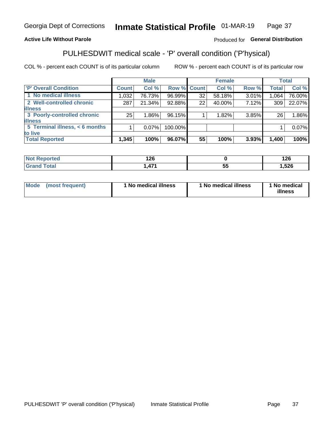#### Inmate Statistical Profile 01-MAR-19 Page 37

#### **Active Life Without Parole**

#### Produced for General Distribution

## PULHESDWIT medical scale - 'P' overall condition ('P'hysical)

COL % - percent each COUNT is of its particular column

|                                |              | <b>Male</b> |         |             | <b>Female</b> |       |              | <b>Total</b> |
|--------------------------------|--------------|-------------|---------|-------------|---------------|-------|--------------|--------------|
| 'P' Overall Condition          | <b>Count</b> | Col %       |         | Row % Count | Col %         | Row % | <b>Total</b> | Col %        |
| 1 No medical illness           | 1,032        | 76.73%      | 96.99%  | 32          | 58.18%        | 3.01% | 1,064.       | 76.00%       |
| 2 Well-controlled chronic      | 287          | 21.34%      | 92.88%  | 22          | 40.00%        | 7.12% | 309          | 22.07%       |
| <b>illness</b>                 |              |             |         |             |               |       |              |              |
| 3 Poorly-controlled chronic    | 25           | $1.86\%$    | 96.15%  |             | 1.82%         | 3.85% | 26           | 1.86%        |
| <b>illness</b>                 |              |             |         |             |               |       |              |              |
| 5 Terminal illness, < 6 months |              | $0.07\%$    | 100.00% |             |               |       |              | 0.07%        |
| to live                        |              |             |         |             |               |       |              |              |
| <b>Total Reported</b>          | 1,345        | 100%        | 96.07%  | 55          | 100%          | 3.93% | 1,400        | 100%         |

| τeα   | . מ                |   | 1 ጎድ<br>14 U |
|-------|--------------------|---|--------------|
| _____ | $\rightarrow$<br>. | ು | ,526         |

| <b>Mode</b> | (most frequent) | 1 No medical illness | 1 No medical illness | 1 No medical<br>illness |
|-------------|-----------------|----------------------|----------------------|-------------------------|
|-------------|-----------------|----------------------|----------------------|-------------------------|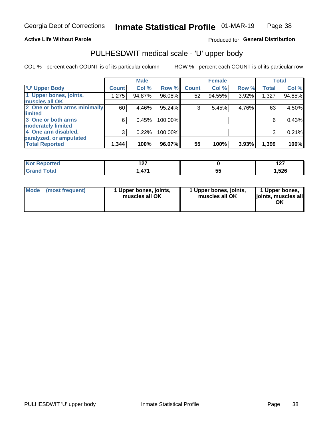#### **Active Life Without Parole**

#### Produced for General Distribution

## PULHESDWIT medical scale - 'U' upper body

COL % - percent each COUNT is of its particular column

|                              |              | <b>Male</b> |         |              | <b>Female</b> |       |              | <b>Total</b> |
|------------------------------|--------------|-------------|---------|--------------|---------------|-------|--------------|--------------|
| <b>'U' Upper Body</b>        | <b>Count</b> | Col %       | Row %   | <b>Count</b> | Col %         | Row % | <b>Total</b> | Col %        |
| 1 Upper bones, joints,       | 1,275        | 94.87%      | 96.08%  | 52           | 94.55%        | 3.92% | 1,327        | 94.85%       |
| muscles all OK               |              |             |         |              |               |       |              |              |
| 2 One or both arms minimally | 60           | 4.46%       | 95.24%  | 3            | 5.45%         | 4.76% | 63           | 4.50%        |
| limited                      |              |             |         |              |               |       |              |              |
| 3 One or both arms           | 6            | 0.45%       | 100.00% |              |               |       | 6            | 0.43%        |
| <b>moderately limited</b>    |              |             |         |              |               |       |              |              |
| 4 One arm disabled,          | 3            | 0.22%       | 100.00% |              |               |       | 3            | 0.21%        |
| paralyzed, or amputated      |              |             |         |              |               |       |              |              |
| <b>Total Reported</b>        | 1,344        | 100%        | 96.07%  | 55           | 100%          | 3.93% | 1,399        | 100%         |

| <b>Not Reported</b> | --<br>.<br>$ -$ |          | 107<br>. |
|---------------------|-----------------|----------|----------|
| <b>Total</b>        | 171<br>.        | --<br>JJ | 1,526    |

| <b>Mode</b> | (most frequent) | 1 Upper bones, joints,<br>muscles all OK | 1 Upper bones, joints,<br>muscles all OK | 1 Upper bones,<br>ljoints, muscles all<br>ОK |
|-------------|-----------------|------------------------------------------|------------------------------------------|----------------------------------------------|
|-------------|-----------------|------------------------------------------|------------------------------------------|----------------------------------------------|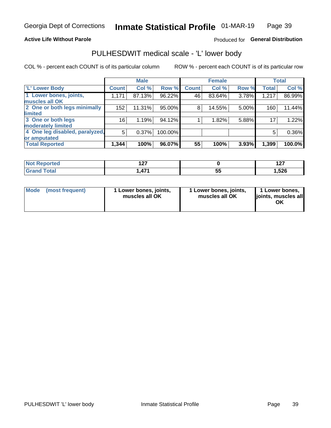#### **Active Life Without Parole**

#### Produced for General Distribution

## PULHESDWIT medical scale - 'L' lower body

COL % - percent each COUNT is of its particular column

|                                |              | <b>Male</b> |         |              | <b>Female</b> |       |              | <b>Total</b> |
|--------------------------------|--------------|-------------|---------|--------------|---------------|-------|--------------|--------------|
| 'L' Lower Body                 | <b>Count</b> | Col %       | Row %   | <b>Count</b> | Col %         | Row % | <b>Total</b> | Col %        |
| 1 Lower bones, joints,         | 1,171        | 87.13%      | 96.22%  | 46           | 83.64%        | 3.78% | 1,217        | 86.99%       |
| muscles all OK                 |              |             |         |              |               |       |              |              |
| 2 One or both legs minimally   | 152          | 11.31%      | 95.00%  | 8            | 14.55%        | 5.00% | 160          | 11.44%       |
| limited                        |              |             |         |              |               |       |              |              |
| 3 One or both legs             | 16           | 1.19%       | 94.12%  |              | 1.82%         | 5.88% | 17           | 1.22%        |
| moderately limited             |              |             |         |              |               |       |              |              |
| 4 One leg disabled, paralyzed, | 5            | 0.37%       | 100.00% |              |               |       | 5            | 0.36%        |
| or amputated                   |              |             |         |              |               |       |              |              |
| <b>Total Reported</b>          | 1,344        | 100%        | 96.07%  | 55           | 100%          | 3.93% | 1,399        | 100.0%       |

| <b>Not Reported</b> | --<br>.<br>$ -$ |    | - - -<br>. |
|---------------------|-----------------|----|------------|
| <b>Total</b>        | $1 - 4$         | -- | 526، ،     |
| <b>UI 41 I 4</b>    | .               | vu |            |

| Mode | (most frequent) | 1 Lower bones, joints,<br>muscles all OK | 1 Lower bones, joints,<br>muscles all OK | 1 Lower bones,<br>ljoints, muscles all<br>OK |
|------|-----------------|------------------------------------------|------------------------------------------|----------------------------------------------|
|------|-----------------|------------------------------------------|------------------------------------------|----------------------------------------------|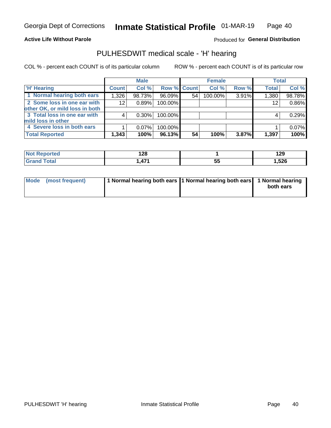#### **Active Life Without Parole**

Produced for General Distribution

### PULHESDWIT medical scale - 'H' hearing

COL % - percent each COUNT is of its particular column

|                                |              | <b>Male</b> |                    |    | <b>Female</b> |       | <b>Total</b> |        |
|--------------------------------|--------------|-------------|--------------------|----|---------------|-------|--------------|--------|
| <b>H' Hearing</b>              | <b>Count</b> | Col %       | <b>Row % Count</b> |    | Col %         | Row % | <b>Total</b> | Col %  |
| 1 Normal hearing both ears     | 1,326        | 98.73%      | 96.09%             | 54 | 100.00%       | 3.91% | 1,380        | 98.78% |
| 2 Some loss in one ear with    | 12           | 0.89%       | 100.00%            |    |               |       | 12           | 0.86%  |
| other OK, or mild loss in both |              |             |                    |    |               |       |              |        |
| 3 Total loss in one ear with   | 4            | $0.30\%$    | 100.00%            |    |               |       | 4            | 0.29%  |
| mild loss in other             |              |             |                    |    |               |       |              |        |
| 4 Severe loss in both ears     |              | $0.07\%$    | 100.00%            |    |               |       |              | 0.07%  |
| <b>Total Reported</b>          | 1,343        | 100%        | 96.13%             | 54 | 100%          | 3.87% | 1,397        | 100%   |

| ported<br><b>NOT</b> | ס פ<br>0٤٠،<br>--- |                           | 1 אמ<br>173 |
|----------------------|--------------------|---------------------------|-------------|
| $\sim$ 10            | $\rightarrow$<br>. | $\ddot{\phantom{1}}$<br>◡ | 526ء        |

| Mode (most frequent) | 1 Normal hearing both ears 1 Normal hearing both ears 1 Normal hearing | both ears |
|----------------------|------------------------------------------------------------------------|-----------|
|                      |                                                                        |           |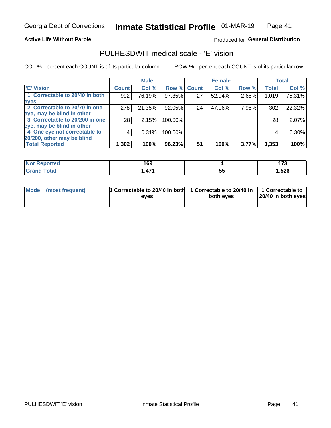#### **Active Life Without Parole**

#### Produced for General Distribution

### PULHESDWIT medical scale - 'E' vision

COL % - percent each COUNT is of its particular column

|                                |              | <b>Male</b> |             |    | <b>Female</b> |       |              | <b>Total</b> |
|--------------------------------|--------------|-------------|-------------|----|---------------|-------|--------------|--------------|
| <b>E' Vision</b>               | <b>Count</b> | Col %       | Row % Count |    | Col %         | Row % | <b>Total</b> | Col %        |
| 1 Correctable to 20/40 in both | 992          | 76.19%      | 97.35%      | 27 | 52.94%        | 2.65% | 1,019        | 75.31%       |
| eyes                           |              |             |             |    |               |       |              |              |
| 2 Correctable to 20/70 in one  | 278          | 21.35%      | 92.05%      | 24 | 47.06%        | 7.95% | 302          | 22.32%       |
| eye, may be blind in other     |              |             |             |    |               |       |              |              |
| 3 Correctable to 20/200 in one | 28           | 2.15%       | 100.00%     |    |               |       | 28           | 2.07%        |
| eye, may be blind in other     |              |             |             |    |               |       |              |              |
| 4 One eye not correctable to   | 4            | 0.31%       | 100.00%     |    |               |       | 4            | 0.30%        |
| 20/200, other may be blind     |              |             |             |    |               |       |              |              |
| <b>Total Reported</b>          | 1,302        | 100%        | 96.23%      | 51 | 100%          | 3.77% | 1,353        | 100%         |

| <b>Not Reported</b> | 169 |          | ---<br>. . |
|---------------------|-----|----------|------------|
| Total               | 171 | --<br>ວະ | ,526       |

| Mode (most frequent) | 1 Correctable to 20/40 in both<br>eves | 1 Correctable to 20/40 in   1 Correctable to<br>both eves | 20/40 in both eyes |
|----------------------|----------------------------------------|-----------------------------------------------------------|--------------------|
|                      |                                        |                                                           |                    |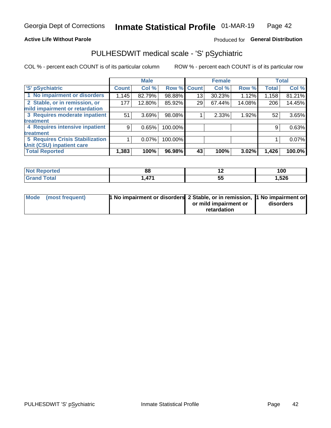#### **Active Life Without Parole**

#### Produced for General Distribution

## PULHESDWIT medical scale - 'S' pSychiatric

COL % - percent each COUNT is of its particular column

|                                        |              | <b>Male</b> |         |             | <b>Female</b> |        |              | <b>Total</b> |
|----------------------------------------|--------------|-------------|---------|-------------|---------------|--------|--------------|--------------|
| 'S' pSychiatric                        | <b>Count</b> | Col %       |         | Row % Count | Col %         | Row %  | <b>Total</b> | Col %        |
| 1 No impairment or disorders           | 1,145        | 82.79%      | 98.88%  | 13          | 30.23%        | 1.12%  | 1,158        | 81.21%       |
| 2 Stable, or in remission, or          | 177          | 12.80%      | 85.92%  | 29          | 67.44%        | 14.08% | 206          | 14.45%       |
| mild impairment or retardation         |              |             |         |             |               |        |              |              |
| 3 Requires moderate inpatient          | 51           | 3.69%       | 98.08%  |             | 2.33%         | 1.92%  | 52           | 3.65%        |
| <b>treatment</b>                       |              |             |         |             |               |        |              |              |
| 4 Requires intensive inpatient         | 9            | 0.65%       | 100.00% |             |               |        | 9            | 0.63%        |
| treatment                              |              |             |         |             |               |        |              |              |
| <b>5 Requires Crisis Stabilization</b> |              | $0.07\%$    | 100.00% |             |               |        |              | 0.07%        |
| Unit (CSU) inpatient care              |              |             |         |             |               |        |              |              |
| <b>Total Reported</b>                  | 1,383        | 100%        | 96.98%  | 43          | 100%          | 3.02%  | 1,426        | 100.0%       |

| <b>Not Reported</b>  | 88                | $\overline{\phantom{0}}$ | 100   |
|----------------------|-------------------|--------------------------|-------|
| <b>Total</b><br>CHOM | 17,<br>$\sqrt{ }$ | ວະ                       | 1,526 |

| Mode | (most frequent) | <b>1 No impairment or disorders</b> 2 Stable, or in remission, 1 No impairment or |                       |           |
|------|-----------------|-----------------------------------------------------------------------------------|-----------------------|-----------|
|      |                 |                                                                                   | or mild impairment or | disorders |
|      |                 |                                                                                   | retardation           |           |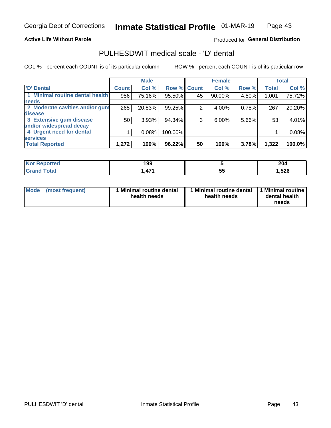#### **Active Life Without Parole**

#### Produced for General Distribution

## PULHESDWIT medical scale - 'D' dental

COL % - percent each COUNT is of its particular column

|                                 |              | <b>Male</b> |             |    | <b>Female</b> |       |              | <b>Total</b> |
|---------------------------------|--------------|-------------|-------------|----|---------------|-------|--------------|--------------|
| <b>D'</b> Dental                | <b>Count</b> | Col %       | Row % Count |    | Col %         | Row % | <b>Total</b> | Col %        |
| 1 Minimal routine dental health | 956          | 75.16%      | 95.50%      | 45 | 90.00%        | 4.50% | 1,001        | 75.72%       |
| <b>needs</b>                    |              |             |             |    |               |       |              |              |
| 2 Moderate cavities and/or gum  | 265          | 20.83%      | 99.25%      |    | 4.00%         | 0.75% | 267          | 20.20%       |
| disease                         |              |             |             |    |               |       |              |              |
| 3 Extensive gum disease         | 50           | 3.93%       | 94.34%      | 3  | 6.00%         | 5.66% | 53           | 4.01%        |
| and/or widespread decay         |              |             |             |    |               |       |              |              |
| 4 Urgent need for dental        |              | 0.08%       | 100.00%     |    |               |       |              | 0.08%        |
| <b>services</b>                 |              |             |             |    |               |       |              |              |
| <b>Total Reported</b>           | 1,272        | 100%        | 96.22%      | 50 | 100%          | 3.78% | 1,322        | 100.0%       |

| <b>Not Reported</b> | 199 |          | 204  |
|---------------------|-----|----------|------|
| Total               | 171 | --<br>ວະ | ,526 |

| <b>Mode</b> | (most frequent) | <b>Minimal routine dental</b><br>health needs | 1 Minimal routine dental   1 Minimal routine  <br>health needs | dental health<br>needs |
|-------------|-----------------|-----------------------------------------------|----------------------------------------------------------------|------------------------|
|-------------|-----------------|-----------------------------------------------|----------------------------------------------------------------|------------------------|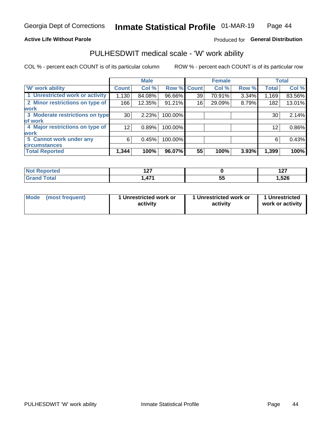#### **Active Life Without Parole**

#### Produced for General Distribution

### PULHESDWIT medical scale - 'W' work ability

COL % - percent each COUNT is of its particular column

|                                 |                    | <b>Male</b> |         |             | <b>Female</b> |       |              | <b>Total</b> |
|---------------------------------|--------------------|-------------|---------|-------------|---------------|-------|--------------|--------------|
| <b>W' work ability</b>          | Count <sup>'</sup> | Col %       |         | Row % Count | Col %         | Row % | <b>Total</b> | Col %        |
| 1 Unrestricted work or activity | 1,130              | 84.08%      | 96.66%  | 39          | 70.91%        | 3.34% | 1,169        | 83.56%       |
| 2 Minor restrictions on type of | 166                | 12.35%      | 91.21%  | 16          | 29.09%        | 8.79% | 182          | 13.01%       |
| <b>work</b>                     |                    |             |         |             |               |       |              |              |
| 3 Moderate restrictions on type | 30                 | 2.23%       | 100.00% |             |               |       | 30           | 2.14%        |
| lof work                        |                    |             |         |             |               |       |              |              |
| 4 Major restrictions on type of | 12 <sub>1</sub>    | 0.89%       | 100.00% |             |               |       | 12           | $0.86\%$     |
| <b>work</b>                     |                    |             |         |             |               |       |              |              |
| 5 Cannot work under any         | 6                  | 0.45%       | 100.00% |             |               |       | 6            | 0.43%        |
| <b>circumstances</b>            |                    |             |         |             |               |       |              |              |
| <b>Total Reported</b>           | 1,344              | 100%        | 96.07%  | 55          | 100%          | 3.93% | 1,399        | 100%         |

| Reported<br><b>NOT</b> | { ^ ㄱ<br>. |     | - - -<br>. |
|------------------------|------------|-----|------------|
| <b>Total</b>           | A 74       | --  | 526، ،     |
| <b>1200</b>            | $\sqrt{ }$ | JJ. |            |

| Mode            | 1 Unrestricted work or | 1 Unrestricted work or | 1 Unrestricted   |
|-----------------|------------------------|------------------------|------------------|
| (most frequent) | activity               | activity               | work or activity |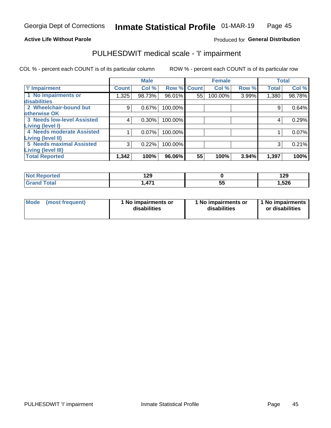#### **Active Life Without Parole**

#### Produced for General Distribution

## PULHESDWIT medical scale - 'I' impairment

COL % - percent each COUNT is of its particular column ROW % - percent each COUNT is of its particular row

|                                   |              | <b>Male</b> |             |    | <b>Female</b> |       |              | <b>Total</b> |
|-----------------------------------|--------------|-------------|-------------|----|---------------|-------|--------------|--------------|
| <b>T' Impairment</b>              | <b>Count</b> | Col %       | Row % Count |    | Col %         | Row % | <b>Total</b> | Col %        |
| 1 No impairments or               | 1,325        | 98.73%      | 96.01%      | 55 | 100.00%       | 3.99% | 1,380        | 98.78%       |
| <b>disabilities</b>               |              |             |             |    |               |       |              |              |
| 2 Wheelchair-bound but            | 9            | 0.67%       | 100.00%     |    |               |       | 9            | 0.64%        |
| otherwise OK                      |              |             |             |    |               |       |              |              |
| <b>3 Needs low-level Assisted</b> | 4            | 0.30%       | 100.00%     |    |               |       | 4            | 0.29%        |
| Living (level I)                  |              |             |             |    |               |       |              |              |
| 4 Needs moderate Assisted         |              | 0.07%       | 100.00%     |    |               |       |              | 0.07%        |
| Living (level II)                 |              |             |             |    |               |       |              |              |
| <b>5 Needs maximal Assisted</b>   | 3            | 0.22%       | 100.00%     |    |               |       | 3            | 0.21%        |
| <b>Living (level III)</b>         |              |             |             |    |               |       |              |              |
| <b>Total Reported</b>             | 1,342        | 100%        | 96.06%      | 55 | 100%          | 3.94% | 1,397        | 100%         |

| Reported     | ാവ<br>179 |          | 190<br>1 Z.J |
|--------------|-----------|----------|--------------|
| <b>Total</b> | ,471      | --<br>v. | 1,526        |

| Mode | (most frequent) | 1 No impairments or<br>disabilities | 1 No impairments or<br>disabilities | 1 No impairments<br>or disabilities |
|------|-----------------|-------------------------------------|-------------------------------------|-------------------------------------|
|------|-----------------|-------------------------------------|-------------------------------------|-------------------------------------|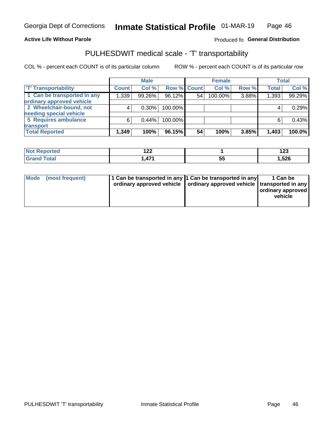#### **Active Life Without Parole**

#### Produced fo General Distribution

## PULHESDWIT medical scale - 'T' transportability

COL % - percent each COUNT is of its particular column

|                             |              | <b>Male</b> |             |    | <b>Female</b> |       |              | <b>Total</b> |
|-----------------------------|--------------|-------------|-------------|----|---------------|-------|--------------|--------------|
| <b>TT Transportability</b>  | <b>Count</b> | Col %       | Row % Count |    | Col %         | Row % | <b>Total</b> | Col %        |
| 1 Can be transported in any | 1,339        | 99.26%      | 96.12%      | 54 | 100.00%       | 3.88% | 1,393        | 99.29%       |
| ordinary approved vehicle   |              |             |             |    |               |       |              |              |
| 2 Wheelchair-bound, not     |              | $0.30\%$    | 100.00%     |    |               |       |              | 0.29%        |
| needing special vehicle     |              |             |             |    |               |       |              |              |
| 5 Requires ambulance        | 6            | 0.44%       | 100.00%     |    |               |       |              | 0.43%        |
| transport                   |              |             |             |    |               |       |              |              |
| <b>Total Reported</b>       | 1,349        | 100%        | 96.15%      | 54 | 100%          | 3.85% | 1,403        | 100.0%       |

| NG<br>ported | .<br>▗▃▃      |           | 102<br>12J |
|--------------|---------------|-----------|------------|
|              | 474<br>4<br>. | - -<br>vu | 1,526      |

| Mode (most frequent) | 1 Can be transported in any 1 Can be transported in any | ordinary approved vehicle   ordinary approved vehicle   transported in any | 1 Can be<br>ordinary approved<br>vehicle |
|----------------------|---------------------------------------------------------|----------------------------------------------------------------------------|------------------------------------------|
|                      |                                                         |                                                                            |                                          |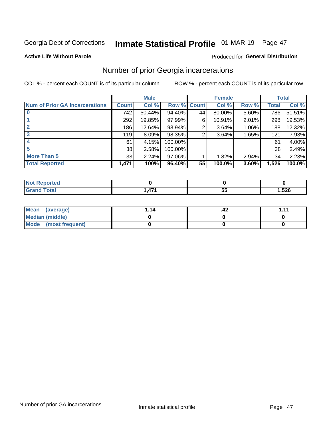## Inmate Statistical Profile 01-MAR-19 Page 47

#### **Active Life Without Parole**

#### **Produced for General Distribution**

### Number of prior Georgia incarcerations

COL % - percent each COUNT is of its particular column

|                                       |              | <b>Male</b> |           |              | <b>Female</b> |          |       | <b>Total</b> |
|---------------------------------------|--------------|-------------|-----------|--------------|---------------|----------|-------|--------------|
| <b>Num of Prior GA Incarcerations</b> | <b>Count</b> | Col %       | Row %     | <b>Count</b> | Col %         | Row %    | Total | Col %        |
|                                       | 742          | 50.44%      | 94.40%    | 44           | 80.00%        | 5.60%    | 786   | 51.51%       |
|                                       | 292          | 19.85%      | 97.99%    | 6            | 10.91%        | 2.01%    | 298   | 19.53%       |
|                                       | 186          | 12.64%      | 98.94%    | 2            | 3.64%         | $1.06\%$ | 188   | 12.32%       |
| 3                                     | 119          | 8.09%       | 98.35%    | 2            | 3.64%         | 1.65%    | 121   | 7.93%        |
| 4                                     | 61           | 4.15%       | 100.00%   |              |               |          | 61    | 4.00%        |
| 5                                     | 38           | 2.58%       | 100.00%   |              |               |          | 38    | 2.49%        |
| <b>More Than 5</b>                    | 33           | 2.24%       | $97.06\%$ |              | 1.82%         | 2.94%    | 34    | 2.23%        |
| <b>Total Reported</b>                 | 1,471        | 100%        | 96.40%    | 55           | 100.0%        | 3.60%    | 1,526 | 100.0%       |

| <b>orteo</b><br><b>NI</b>    |                         |   |       |
|------------------------------|-------------------------|---|-------|
| <b>c</b> otal<br>$\sim$ nana | $\rightarrow$<br>- TI I | ູ | 1,526 |

| Mean (average)         | 1.14 | .42 | 444 |
|------------------------|------|-----|-----|
| <b>Median (middle)</b> |      |     |     |
| Mode (most frequent)   |      |     |     |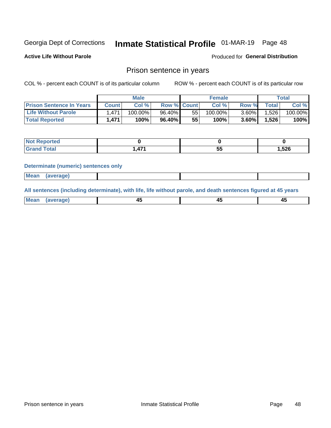## Inmate Statistical Profile 01-MAR-19 Page 48

**Active Life Without Parole** 

Produced for General Distribution

#### Prison sentence in years

COL % - percent each COUNT is of its particular column

ROW % - percent each COUNT is of its particular row

|                                 | <b>Male</b> |            |                    | <b>Female</b> |            |          | Total       |         |
|---------------------------------|-------------|------------|--------------------|---------------|------------|----------|-------------|---------|
| <b>Prison Sentence In Years</b> | Count l     | Col %      | <b>Row % Count</b> |               | Col %      | Row %    | $\tau$ otal | Col %   |
| <b>Life Without Parole</b>      | 1.471.      | $100.00\%$ | 96.40%             | 55            | $100.00\%$ | $3.60\%$ | 1,526       | 100.00% |
| <b>Total Reported</b>           | 1.471       | 100%       | 96.40%             | 55            | $100\%$    | $3.60\%$ | .526        | 100%    |

| Reported |     |          |       |
|----------|-----|----------|-------|
| Total    | A74 | --<br>Ju | 1,526 |

#### **Determinate (numeric) sentences only**

| <b>Mean</b><br><i>(average)</i> |  |
|---------------------------------|--|
|---------------------------------|--|

All sentences (including determinate), with life, life without parole, and death sentences figured at 45 years

| Me<br>.<br> | -- | -- |  |
|-------------|----|----|--|
|             |    |    |  |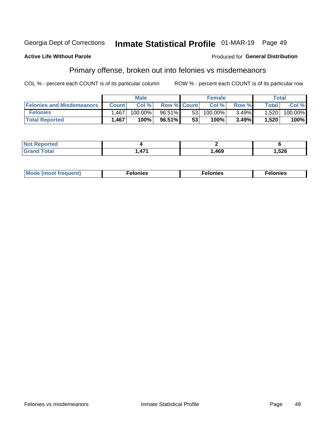#### Georgia Dept of Corrections Inmate Statistical Profile 01-MAR-19 Page 49

#### **Active Life Without Parole**

#### Produced for General Distribution

### Primary offense, broken out into felonies vs misdemeanors

COL % - percent each COUNT is of its particular column

|                                  | <b>Male</b>  |         |                    | <b>Female</b> |         |          | Total        |         |
|----------------------------------|--------------|---------|--------------------|---------------|---------|----------|--------------|---------|
| <b>Felonies and Misdemeanors</b> | <b>Count</b> | Col %   | <b>Row % Count</b> |               | Col%    | Row %    | <b>Total</b> | Col %   |
| <b>Felonies</b>                  | .467         | 100.00% | 96.51%             | 53            | 100.00% | $3.49\%$ | 1,520        | 100.00% |
| <b>Total Reported</b>            | 1,467        | 100%    | 96.51%             | 53            | 100%    | 3.49%    | 1,520        | 100%    |

| <b>Not Reported</b> |     |      |      |
|---------------------|-----|------|------|
| <b>Grand Total</b>  | A7' | ,469 | .526 |

| <b>Mode</b><br>frequent)<br>nies<br>≧ (most tr.<br>. | onies<br>. | lonies<br>ею<br>____ |
|------------------------------------------------------|------------|----------------------|
|------------------------------------------------------|------------|----------------------|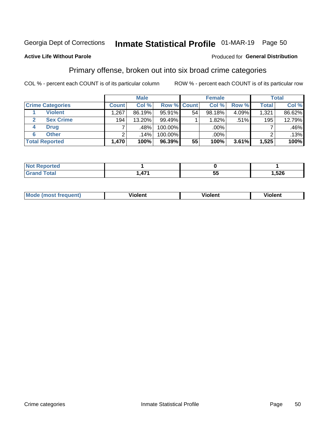## Inmate Statistical Profile 01-MAR-19 Page 50

#### **Active Life Without Parole**

#### Produced for General Distribution

### Primary offense, broken out into six broad crime categories

COL % - percent each COUNT is of its particular column

|                         | <b>Male</b>  |        |         | <b>Female</b> |        |         | Total |        |
|-------------------------|--------------|--------|---------|---------------|--------|---------|-------|--------|
| <b>Crime Categories</b> | <b>Count</b> | Col %  |         | Row % Count   | Col %  | Row %   | Total | Col %  |
| <b>Violent</b>          | .267         | 86.19% | 95.91%  | 54            | 98.18% | 4.09%   | 1,321 | 86.62% |
| <b>Sex Crime</b>        | 194          | 13.20% | 99.49%  |               | 1.82%  | $.51\%$ | 195   | 12.79% |
| <b>Drug</b><br>4        | ⇁            | .48%   | 100.00% |               | .00%   |         |       | .46%   |
| <b>Other</b><br>6       | າ            | .14%   | 100.00% |               | .00%   |         |       | .13%   |
| <b>Total Reported</b>   | 1,470        | 100%   | 96.39%  | 55            | 100%   | 3.61%   | 1,525 | 100%   |

| τeα<br>NO<br>$\cdots$ |   |     |      |
|-----------------------|---|-----|------|
|                       | . | . . | 526, |

| Mode (most frequent) | <br>∕iolent | Violent | Violent |
|----------------------|-------------|---------|---------|
|                      |             |         |         |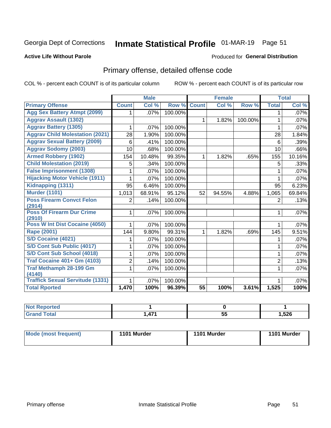## Inmate Statistical Profile 01-MAR-19 Page 51

#### **Active Life Without Parole**

#### Produced for General Distribution

## Primary offense, detailed offense code

COL % - percent each COUNT is of its particular column

|                                            |                | <b>Male</b>               |         |                 | <b>Female</b> |         |                | <b>Total</b> |
|--------------------------------------------|----------------|---------------------------|---------|-----------------|---------------|---------|----------------|--------------|
| <b>Primary Offense</b>                     | <b>Count</b>   | $\overline{\text{Col}}$ % | Row %   | <b>Count</b>    | Col %         | Row %   | <b>Total</b>   | Col %        |
| <b>Agg Sex Battery Atmpt (2099)</b>        |                | .07%                      | 100.00% |                 |               |         | 1              | .07%         |
| <b>Aggrav Assault (1302)</b>               |                |                           |         | $\mathbf{1}$    | 1.82%         | 100.00% | 1              | .07%         |
| <b>Aggrav Battery (1305)</b>               | 1              | .07%                      | 100.00% |                 |               |         | 1              | .07%         |
| <b>Aggrav Child Molestation (2021)</b>     | 28             | 1.90%                     | 100.00% |                 |               |         | 28             | 1.84%        |
| <b>Aggrav Sexual Battery (2009)</b>        | 6              | .41%                      | 100.00% |                 |               |         | 6              | .39%         |
| <b>Aggrav Sodomy (2003)</b>                | 10             | .68%                      | 100.00% |                 |               |         | 10             | .66%         |
| <b>Armed Robbery (1902)</b>                | 154            | 10.48%                    | 99.35%  | 1               | 1.82%         | .65%    | 155            | 10.16%       |
| <b>Child Molestation (2019)</b>            | 5              | .34%                      | 100.00% |                 |               |         | 5              | .33%         |
| <b>False Imprisonment (1308)</b>           |                | .07%                      | 100.00% |                 |               |         |                | $.07\%$      |
| <b>Hijacking Motor Vehicle (1911)</b>      | 1              | .07%                      | 100.00% |                 |               |         | 1              | .07%         |
| Kidnapping (1311)                          | 95             | 6.46%                     | 100.00% |                 |               |         | 95             | 6.23%        |
| <b>Murder (1101)</b>                       | 1,013          | 68.91%                    | 95.12%  | 52              | 94.55%        | 4.88%   | 1,065          | 69.84%       |
| <b>Poss Firearm Convct Felon</b>           | 2              | .14%                      | 100.00% |                 |               |         | $\overline{2}$ | .13%         |
| (2914)                                     |                |                           |         |                 |               |         |                |              |
| <b>Poss Of Firearm Dur Crime</b><br>(2910) | 1              | .07%                      | 100.00% |                 |               |         | 1              | .07%         |
| <b>Poss W Int Dist Cocaine (4050)</b>      |                | .07%                      | 100.00% |                 |               |         |                | $.07\%$      |
| <b>Rape (2001)</b>                         | 144            | 9.80%                     | 99.31%  | $\mathbf{1}$    | 1.82%         | .69%    | 145            | 9.51%        |
| <b>S/D Cocaine (4021)</b>                  | 1              | .07%                      | 100.00% |                 |               |         | 1              | .07%         |
| S/D Cont Sub Public (4017)                 | 1              | .07%                      | 100.00% |                 |               |         | 1              | $.07\%$      |
| S/D Cont Sub School (4018)                 |                | .07%                      | 100.00% |                 |               |         | 1              | $.07\%$      |
| <b>Traf Cocaine 401+ Gm (4103)</b>         | $\overline{c}$ | .14%                      | 100.00% |                 |               |         | $\overline{2}$ | .13%         |
| <b>Traf Methamph 28-199 Gm</b>             | 1              | .07%                      | 100.00% |                 |               |         | 1              | .07%         |
| (4140)                                     |                |                           |         |                 |               |         |                |              |
| <b>Traffick Sexual Servitude (1331)</b>    |                | .07%                      | 100.00% |                 |               |         |                | .07%         |
| <b>Total Rported</b>                       | 1,470          | 100%                      | 96.39%  | $\overline{55}$ | 100%          | 3.61%   | 1,525          | 100%         |

| <b>NOT</b><br>portea |                       |    |       |
|----------------------|-----------------------|----|-------|
| υιαι                 | $\overline{A}$<br>. . | Эt | 1,526 |

| Mode (most frequent) | 1101 Murder | 1101 Murder | 1101 Murder |
|----------------------|-------------|-------------|-------------|
|                      |             |             |             |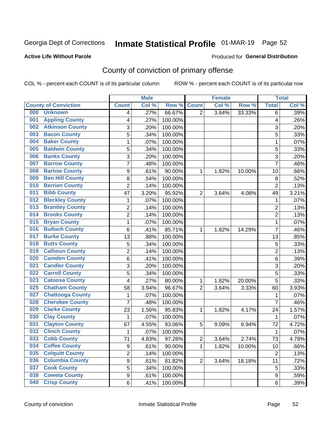## Inmate Statistical Profile 01-MAR-19 Page 52

#### **Active Life Without Parole**

#### Produced for General Distribution

## County of conviction of primary offense

COL % - percent each COUNT is of its particular column

|                                | <b>Male</b>      |       | <b>Female</b> |                |       | <b>Total</b> |                |       |
|--------------------------------|------------------|-------|---------------|----------------|-------|--------------|----------------|-------|
| <b>County of Conviction</b>    | <b>Count</b>     | Col % | Row %         | <b>Count</b>   | Col % | Row %        | <b>Total</b>   | Col % |
| 000<br><b>Unknown</b>          | 4                | .27%  | 66.67%        | 2              | 3.64% | 33.33%       | 6              | .39%  |
| <b>Appling County</b><br>001   | 4                | .27%  | 100.00%       |                |       |              | 4              | .26%  |
| <b>Atkinson County</b><br>002  | 3                | .20%  | 100.00%       |                |       |              | 3              | .20%  |
| <b>Bacon County</b><br>003     | 5                | .34%  | 100.00%       |                |       |              | 5              | .33%  |
| <b>Baker County</b><br>004     | 1                | .07%  | 100.00%       |                |       |              | $\mathbf{1}$   | .07%  |
| <b>Baldwin County</b><br>005   | 5                | .34%  | 100.00%       |                |       |              | 5              | .33%  |
| <b>Banks County</b><br>006     | 3                | .20%  | 100.00%       |                |       |              | 3              | .20%  |
| <b>Barrow County</b><br>007    | $\overline{7}$   | .48%  | 100.00%       |                |       |              | $\overline{7}$ | .46%  |
| <b>Bartow County</b><br>008    | 9                | .61%  | 90.00%        | 1              | 1.82% | 10.00%       | 10             | .66%  |
| <b>Ben Hill County</b><br>009  | 8                | .54%  | 100.00%       |                |       |              | 8              | .52%  |
| <b>Berrien County</b><br>010   | $\overline{c}$   | .14%  | 100.00%       |                |       |              | $\overline{c}$ | .13%  |
| <b>Bibb County</b><br>011      | 47               | 3.20% | 95.92%        | $\overline{2}$ | 3.64% | 4.08%        | 49             | 3.21% |
| <b>Bleckley County</b><br>012  | 1                | .07%  | 100.00%       |                |       |              | $\mathbf{1}$   | .07%  |
| <b>Brantley County</b><br>013  | $\overline{2}$   | .14%  | 100.00%       |                |       |              | $\overline{2}$ | .13%  |
| <b>Brooks County</b><br>014    | $\overline{c}$   | .14%  | 100.00%       |                |       |              | $\overline{c}$ | .13%  |
| <b>Bryan County</b><br>015     | 1                | .07%  | 100.00%       |                |       |              | $\mathbf{1}$   | .07%  |
| <b>Bulloch County</b><br>016   | 6                | .41%  | 85.71%        | 1              | 1.82% | 14.29%       | $\overline{7}$ | .46%  |
| <b>Burke County</b><br>017     | 13               | .88%  | 100.00%       |                |       |              | 13             | .85%  |
| <b>Butts County</b><br>018     | 5                | .34%  | 100.00%       |                |       |              | 5              | .33%  |
| <b>Calhoun County</b><br>019   | $\overline{2}$   | .14%  | 100.00%       |                |       |              | $\overline{2}$ | .13%  |
| <b>Camden County</b><br>020    | 6                | .41%  | 100.00%       |                |       |              | $\,6\,$        | .39%  |
| <b>Candler County</b><br>021   | 3                | .20%  | 100.00%       |                |       |              | 3              | .20%  |
| <b>Carroll County</b><br>022   | 5                | .34%  | 100.00%       |                |       |              | 5              | .33%  |
| <b>Catoosa County</b><br>023   | 4                | .27%  | 80.00%        | 1              | 1.82% | 20.00%       | $\overline{5}$ | .33%  |
| <b>Chatham County</b><br>025   | 58               | 3.94% | 96.67%        | $\overline{2}$ | 3.64% | 3.33%        | 60             | 3.93% |
| <b>Chattooga County</b><br>027 | 1                | .07%  | 100.00%       |                |       |              | 1              | .07%  |
| <b>Cherokee County</b><br>028  | $\overline{7}$   | .48%  | 100.00%       |                |       |              | $\overline{7}$ | .46%  |
| <b>Clarke County</b><br>029    | 23               | 1.56% | 95.83%        | 1              | 1.82% | 4.17%        | 24             | 1.57% |
| <b>Clay County</b><br>030      | $\mathbf 1$      | .07%  | 100.00%       |                |       |              | $\mathbf{1}$   | .07%  |
| <b>Clayton County</b><br>031   | 67               | 4.55% | 93.06%        | 5              | 9.09% | 6.94%        | 72             | 4.72% |
| <b>Clinch County</b><br>032    | 1                | .07%  | 100.00%       |                |       |              | 1              | .07%  |
| <b>Cobb County</b><br>033      | 71               | 4.83% | 97.26%        | 2              | 3.64% | 2.74%        | 73             | 4.78% |
| <b>Coffee County</b><br>034    | 9                | .61%  | 90.00%        | 1              | 1.82% | 10.00%       | 10             | .66%  |
| 035<br><b>Colquitt County</b>  | 2                | .14%  | 100.00%       |                |       |              | $\overline{2}$ | .13%  |
| <b>Columbia County</b><br>036  | $\boldsymbol{9}$ | .61%  | 81.82%        | $\overline{2}$ | 3.64% | 18.18%       | 11             | .72%  |
| <b>Cook County</b><br>037      | 5                | .34%  | 100.00%       |                |       |              | $\sqrt{5}$     | .33%  |
| <b>Coweta County</b><br>038    | 9                | .61%  | 100.00%       |                |       |              | 9              | .59%  |
| <b>Crisp County</b><br>040     | 6                | .41%  | 100.00%       |                |       |              | 6              | .39%  |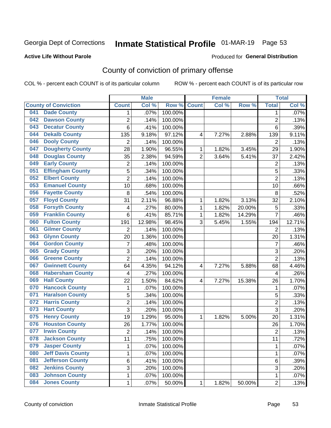## Inmate Statistical Profile 01-MAR-19 Page 53

#### **Active Life Without Parole**

#### Produced for General Distribution

## County of conviction of primary offense

COL % - percent each COUNT is of its particular column

|     |                             |                | <b>Male</b> |         |                | <b>Female</b> |        |                | <b>Total</b> |
|-----|-----------------------------|----------------|-------------|---------|----------------|---------------|--------|----------------|--------------|
|     | <b>County of Conviction</b> | <b>Count</b>   | Col %       | Row %   | <b>Count</b>   | Col %         | Row %  | <b>Total</b>   | Col %        |
| 041 | <b>Dade County</b>          | 1              | .07%        | 100.00% |                |               |        | 1              | .07%         |
| 042 | <b>Dawson County</b>        | $\overline{2}$ | .14%        | 100.00% |                |               |        | $\overline{2}$ | .13%         |
| 043 | <b>Decatur County</b>       | 6              | .41%        | 100.00% |                |               |        | 6              | .39%         |
| 044 | <b>Dekalb County</b>        | 135            | 9.18%       | 97.12%  | 4              | 7.27%         | 2.88%  | 139            | 9.11%        |
| 046 | <b>Dooly County</b>         | $\overline{2}$ | .14%        | 100.00% |                |               |        | $\overline{2}$ | .13%         |
| 047 | <b>Dougherty County</b>     | 28             | 1.90%       | 96.55%  | 1              | 1.82%         | 3.45%  | 29             | 1.90%        |
| 048 | <b>Douglas County</b>       | 35             | 2.38%       | 94.59%  | $\overline{2}$ | 3.64%         | 5.41%  | 37             | 2.42%        |
| 049 | <b>Early County</b>         | $\mathbf 2$    | .14%        | 100.00% |                |               |        | $\overline{2}$ | .13%         |
| 051 | <b>Effingham County</b>     | 5              | .34%        | 100.00% |                |               |        | 5              | .33%         |
| 052 | <b>Elbert County</b>        | $\overline{2}$ | .14%        | 100.00% |                |               |        | $\overline{2}$ | .13%         |
| 053 | <b>Emanuel County</b>       | 10             | .68%        | 100.00% |                |               |        | 10             | .66%         |
| 056 | <b>Fayette County</b>       | 8              | .54%        | 100.00% |                |               |        | 8              | .52%         |
| 057 | <b>Floyd County</b>         | 31             | 2.11%       | 96.88%  | $\mathbf{1}$   | 1.82%         | 3.13%  | 32             | 2.10%        |
| 058 | <b>Forsyth County</b>       | 4              | .27%        | 80.00%  | 1              | 1.82%         | 20.00% | 5              | .33%         |
| 059 | <b>Franklin County</b>      | 6              | .41%        | 85.71%  | 1              | 1.82%         | 14.29% | $\overline{7}$ | .46%         |
| 060 | <b>Fulton County</b>        | 191            | 12.98%      | 98.45%  | 3              | 5.45%         | 1.55%  | 194            | 12.71%       |
| 061 | <b>Gilmer County</b>        | $\overline{2}$ | .14%        | 100.00% |                |               |        | $\overline{2}$ | .13%         |
| 063 | <b>Glynn County</b>         | 20             | 1.36%       | 100.00% |                |               |        | 20             | 1.31%        |
| 064 | <b>Gordon County</b>        | $\overline{7}$ | .48%        | 100.00% |                |               |        | $\overline{7}$ | .46%         |
| 065 | <b>Grady County</b>         | 3              | .20%        | 100.00% |                |               |        | 3              | .20%         |
| 066 | <b>Greene County</b>        | $\overline{2}$ | .14%        | 100.00% |                |               |        | $\overline{2}$ | .13%         |
| 067 | <b>Gwinnett County</b>      | 64             | 4.35%       | 94.12%  | 4              | 7.27%         | 5.88%  | 68             | 4.46%        |
| 068 | <b>Habersham County</b>     | 4              | .27%        | 100.00% |                |               |        | 4              | .26%         |
| 069 | <b>Hall County</b>          | 22             | 1.50%       | 84.62%  | 4              | 7.27%         | 15.38% | 26             | 1.70%        |
| 070 | <b>Hancock County</b>       | $\mathbf{1}$   | .07%        | 100.00% |                |               |        | $\mathbf{1}$   | .07%         |
| 071 | <b>Haralson County</b>      | 5              | .34%        | 100.00% |                |               |        | 5              | .33%         |
| 072 | <b>Harris County</b>        | $\overline{c}$ | .14%        | 100.00% |                |               |        | $\overline{2}$ | .13%         |
| 073 | <b>Hart County</b>          | 3              | .20%        | 100.00% |                |               |        | $\overline{3}$ | .20%         |
| 075 | <b>Henry County</b>         | 19             | 1.29%       | 95.00%  | $\mathbf{1}$   | 1.82%         | 5.00%  | 20             | 1.31%        |
| 076 | <b>Houston County</b>       | 26             | 1.77%       | 100.00% |                |               |        | 26             | 1.70%        |
| 077 | <b>Irwin County</b>         | $\overline{c}$ | .14%        | 100.00% |                |               |        | $\overline{2}$ | .13%         |
| 078 | <b>Jackson County</b>       | 11             | .75%        | 100.00% |                |               |        | 11             | .72%         |
| 079 | <b>Jasper County</b>        | $\mathbf{1}$   | .07%        | 100.00% |                |               |        | $\mathbf{1}$   | .07%         |
| 080 | <b>Jeff Davis County</b>    | 1              | .07%        | 100.00% |                |               |        | $\mathbf{1}$   | .07%         |
| 081 | <b>Jefferson County</b>     | 6              | .41%        | 100.00% |                |               |        | 6              | .39%         |
| 082 | <b>Jenkins County</b>       | 3              | .20%        | 100.00% |                |               |        | 3              | .20%         |
| 083 | <b>Johnson County</b>       | $\mathbf 1$    | .07%        | 100.00% |                |               |        | $\mathbf 1$    | .07%         |
| 084 | <b>Jones County</b>         | $\mathbf 1$    | .07%        | 50.00%  | 1              | 1.82%         | 50.00% | $\overline{2}$ | .13%         |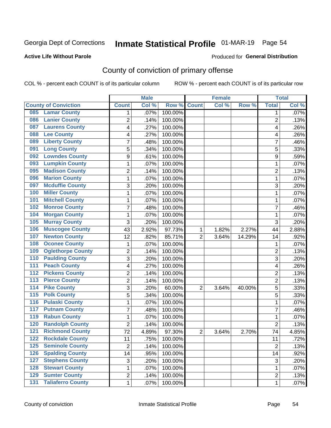## Inmate Statistical Profile 01-MAR-19 Page 54

#### **Active Life Without Parole**

#### **Produced for General Distribution**

## County of conviction of primary offense

COL % - percent each COUNT is of its particular column

|                                              | <b>Male</b>    |       | <b>Female</b> |                |       | <b>Total</b> |                |       |
|----------------------------------------------|----------------|-------|---------------|----------------|-------|--------------|----------------|-------|
| <b>County of Conviction</b>                  | <b>Count</b>   | Col % | Row %         | <b>Count</b>   | Col % | Row %        | <b>Total</b>   | Col % |
| <b>Lamar County</b><br>085                   | 1              | .07%  | 100.00%       |                |       |              | 1              | .07%  |
| <b>Lanier County</b><br>086                  | $\overline{2}$ | .14%  | 100.00%       |                |       |              | $\overline{2}$ | .13%  |
| <b>Laurens County</b><br>087                 | 4              | .27%  | 100.00%       |                |       |              | 4              | .26%  |
| <b>Lee County</b><br>088                     | 4              | .27%  | 100.00%       |                |       |              | 4              | .26%  |
| <b>Liberty County</b><br>089                 | 7              | .48%  | 100.00%       |                |       |              | 7              | .46%  |
| <b>Long County</b><br>091                    | 5              | .34%  | 100.00%       |                |       |              | 5              | .33%  |
| <b>Lowndes County</b><br>092                 | 9              | .61%  | 100.00%       |                |       |              | 9              | .59%  |
| <b>Lumpkin County</b><br>093                 | 1              | .07%  | 100.00%       |                |       |              | $\mathbf{1}$   | .07%  |
| <b>Madison County</b><br>095                 | 2              | .14%  | 100.00%       |                |       |              | $\overline{2}$ | .13%  |
| <b>Marion County</b><br>096                  | 1              | .07%  | 100.00%       |                |       |              | $\mathbf{1}$   | .07%  |
| <b>Mcduffie County</b><br>097                | 3              | .20%  | 100.00%       |                |       |              | 3              | .20%  |
| <b>Miller County</b><br>100                  | 1              | .07%  | 100.00%       |                |       |              | 1              | .07%  |
| <b>Mitchell County</b><br>101                | 1              | .07%  | 100.00%       |                |       |              | $\mathbf{1}$   | .07%  |
| <b>Monroe County</b><br>102                  | 7              | .48%  | 100.00%       |                |       |              | 7              | .46%  |
| <b>Morgan County</b><br>104                  | 1              | .07%  | 100.00%       |                |       |              | $\mathbf{1}$   | .07%  |
| <b>Murray County</b><br>105                  | 3              | .20%  | 100.00%       |                |       |              | 3              | .20%  |
| <b>Muscogee County</b><br>106                | 43             | 2.92% | 97.73%        | 1              | 1.82% | 2.27%        | 44             | 2.88% |
| <b>Newton County</b><br>107                  | 12             | .82%  | 85.71%        | $\overline{2}$ | 3.64% | 14.29%       | 14             | .92%  |
| <b>Oconee County</b><br>108                  | 1              | .07%  | 100.00%       |                |       |              | 1              | .07%  |
| <b>Oglethorpe County</b><br>109              | $\overline{2}$ | .14%  | 100.00%       |                |       |              | $\overline{2}$ | .13%  |
| <b>Paulding County</b><br>110                | 3              | .20%  | 100.00%       |                |       |              | 3              | .20%  |
| <b>Peach County</b><br>$\overline{111}$      | 4              | .27%  | 100.00%       |                |       |              | 4              | .26%  |
| <b>Pickens County</b><br>$\overline{112}$    | $\overline{2}$ | .14%  | 100.00%       |                |       |              | $\overline{2}$ | .13%  |
| <b>Pierce County</b><br>113                  | $\overline{2}$ | .14%  | 100.00%       |                |       |              | $\overline{2}$ | .13%  |
| <b>Pike County</b><br>114                    | 3              | .20%  | 60.00%        | $\overline{2}$ | 3.64% | 40.00%       | 5              | .33%  |
| 115<br><b>Polk County</b>                    | 5              | .34%  | 100.00%       |                |       |              | 5              | .33%  |
| <b>Pulaski County</b><br>116                 | 1              | .07%  | 100.00%       |                |       |              | $\mathbf{1}$   | .07%  |
| <b>Putnam County</b><br>117                  | 7              | .48%  | 100.00%       |                |       |              | $\overline{7}$ | .46%  |
| <b>Rabun County</b><br>119                   | 1              | .07%  | 100.00%       |                |       |              | $\mathbf{1}$   | .07%  |
| <b>Randolph County</b><br>120                | $\overline{2}$ | .14%  | 100.00%       |                |       |              | $\overline{2}$ | .13%  |
| <b>Richmond County</b><br>121                | 72             | 4.89% | 97.30%        | $\overline{2}$ | 3.64% | 2.70%        | 74             | 4.85% |
| 122<br><b>Rockdale County</b>                | 11             | .75%  | 100.00%       |                |       |              | 11             | .72%  |
| <b>Seminole County</b><br>125                | $\overline{2}$ | .14%  | 100.00%       |                |       |              | $\overline{2}$ | .13%  |
| <b>Spalding County</b><br>$\overline{126}$   | 14             | .95%  | 100.00%       |                |       |              | 14             | .92%  |
| <b>Stephens County</b><br>127                | 3              | .20%  | 100.00%       |                |       |              | 3              | .20%  |
| <b>Stewart County</b><br>128                 | 1              | .07%  | 100.00%       |                |       |              | 1              | .07%  |
| <b>Sumter County</b><br>129                  | $\overline{2}$ | .14%  | 100.00%       |                |       |              | $\overline{2}$ | .13%  |
| <b>Taliaferro County</b><br>$\overline{131}$ | $\mathbf{1}$   | .07%  | 100.00%       |                |       |              | $\mathbf 1$    | .07%  |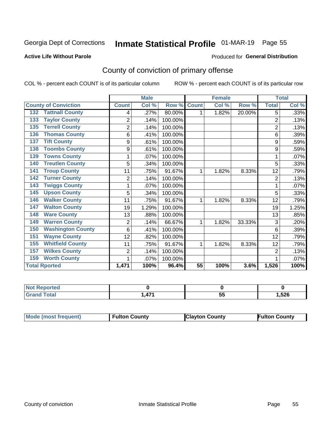## Inmate Statistical Profile 01-MAR-19 Page 55

#### **Active Life Without Parole**

#### Produced for General Distribution

## County of conviction of primary offense

COL % - percent each COUNT is of its particular column

|                                 |                | <b>Male</b> |         |                 | <b>Female</b> |        |                | <b>Total</b> |
|---------------------------------|----------------|-------------|---------|-----------------|---------------|--------|----------------|--------------|
| <b>County of Conviction</b>     | <b>Count</b>   | Col %       | Row %   | <b>Count</b>    | Col %         | Row %  | <b>Total</b>   | Col %        |
| <b>Tattnall County</b><br>132   | 4              | .27%        | 80.00%  | 1               | 1.82%         | 20.00% | 5              | .33%         |
| <b>Taylor County</b><br>133     | $\overline{2}$ | .14%        | 100.00% |                 |               |        | $\overline{2}$ | .13%         |
| <b>Terrell County</b><br>135    | $\overline{2}$ | .14%        | 100.00% |                 |               |        | $\overline{2}$ | .13%         |
| <b>Thomas County</b><br>136     | 6              | .41%        | 100.00% |                 |               |        | 6              | .39%         |
| <b>Tift County</b><br>137       | 9              | .61%        | 100.00% |                 |               |        | 9              | .59%         |
| <b>Toombs County</b><br>138     | 9              | .61%        | 100.00% |                 |               |        | 9              | .59%         |
| <b>Towns County</b><br>139      |                | .07%        | 100.00% |                 |               |        | 1              | .07%         |
| <b>Treutlen County</b><br>140   | 5              | .34%        | 100.00% |                 |               |        | 5              | .33%         |
| <b>Troup County</b><br>141      | 11             | .75%        | 91.67%  | 1               | 1.82%         | 8.33%  | 12             | .79%         |
| <b>Turner County</b><br>142     | $\overline{2}$ | .14%        | 100.00% |                 |               |        | $\overline{2}$ | .13%         |
| <b>Twiggs County</b><br>143     | 1              | .07%        | 100.00% |                 |               |        | 1              | .07%         |
| <b>Upson County</b><br>145      | 5              | .34%        | 100.00% |                 |               |        | 5              | .33%         |
| <b>Walker County</b><br>146     | 11             | .75%        | 91.67%  | 1               | 1.82%         | 8.33%  | 12             | .79%         |
| <b>Walton County</b><br>147     | 19             | 1.29%       | 100.00% |                 |               |        | 19             | 1.25%        |
| <b>Ware County</b><br>148       | 13             | .88%        | 100.00% |                 |               |        | 13             | .85%         |
| <b>Warren County</b><br>149     | $\overline{2}$ | .14%        | 66.67%  | 1               | 1.82%         | 33.33% | 3              | .20%         |
| <b>Washington County</b><br>150 | 6              | .41%        | 100.00% |                 |               |        | 6              | .39%         |
| <b>Wayne County</b><br>151      | 12             | .82%        | 100.00% |                 |               |        | 12             | .79%         |
| <b>Whitfield County</b><br>155  | 11             | .75%        | 91.67%  | 1               | 1.82%         | 8.33%  | 12             | .79%         |
| <b>Wilkes County</b><br>157     | $\overline{2}$ | .14%        | 100.00% |                 |               |        | $\overline{2}$ | .13%         |
| <b>Worth County</b><br>159      | 1              | .07%        | 100.00% |                 |               |        | 1              | .07%         |
| <b>Total Rported</b>            | 1,471          | 100%        | 96.4%   | $\overline{55}$ | 100%          | 3.6%   | 1,526          | 100%         |

| ≺eported<br><b>NOT</b> |     |          |       |
|------------------------|-----|----------|-------|
| Total                  | 47. | --<br>v. | 526،، |

| Mode (most frequent) | <b>Fulton County</b> | <b>Clayton County</b> | <b>Fulton County</b> |
|----------------------|----------------------|-----------------------|----------------------|
|----------------------|----------------------|-----------------------|----------------------|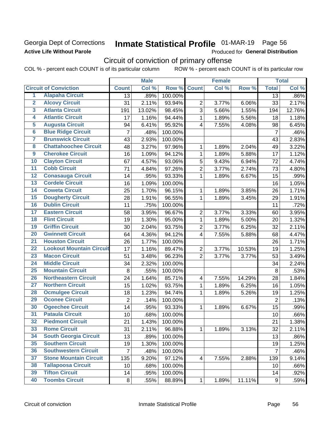### Georgia Dept of Corrections **Active Life Without Parole**

## Inmate Statistical Profile 01-MAR-19 Page 56

Produced for General Distribution

## Circuit of conviction of primary offense

COL % - percent each COUNT is of its particular column ROW % - percent each COUNT is of its particular row

|                         |                                 | <b>Male</b>    |        | <b>Female</b> |                         |       | <b>Total</b> |                |        |
|-------------------------|---------------------------------|----------------|--------|---------------|-------------------------|-------|--------------|----------------|--------|
|                         | <b>Circuit of Conviction</b>    | <b>Count</b>   | Col %  | Row %         | <b>Count</b>            | Col % | Row %        | <b>Total</b>   | Col %  |
| 1                       | <b>Alapaha Circuit</b>          | 13             | .89%   | 100.00%       |                         |       |              | 13             | .86%   |
| $\overline{2}$          | <b>Alcovy Circuit</b>           | 31             | 2.11%  | 93.94%        | $\overline{2}$          | 3.77% | 6.06%        | 33             | 2.17%  |
| $\overline{\mathbf{3}}$ | <b>Atlanta Circuit</b>          | 191            | 13.02% | 98.45%        | 3                       | 5.66% | 1.55%        | 194            | 12.76% |
| $\overline{4}$          | <b>Atlantic Circuit</b>         | 17             | 1.16%  | 94.44%        | 1                       | 1.89% | 5.56%        | 18             | 1.18%  |
| 5                       | <b>Augusta Circuit</b>          | 94             | 6.41%  | 95.92%        | $\overline{4}$          | 7.55% | 4.08%        | 98             | 6.45%  |
| $\overline{\bf{6}}$     | <b>Blue Ridge Circuit</b>       | $\overline{7}$ | .48%   | 100.00%       |                         |       |              | $\overline{7}$ | .46%   |
| 7                       | <b>Brunswick Circuit</b>        | 43             | 2.93%  | 100.00%       |                         |       |              | 43             | 2.83%  |
| $\overline{\mathbf{8}}$ | <b>Chattahoochee Circuit</b>    | 48             | 3.27%  | 97.96%        | 1                       | 1.89% | 2.04%        | 49             | 3.22%  |
| $\overline{9}$          | <b>Cherokee Circuit</b>         | 16             | 1.09%  | 94.12%        | 1                       | 1.89% | 5.88%        | 17             | 1.12%  |
| 10                      | <b>Clayton Circuit</b>          | 67             | 4.57%  | 93.06%        | 5                       | 9.43% | 6.94%        | 72             | 4.74%  |
| $\overline{11}$         | <b>Cobb Circuit</b>             | 71             | 4.84%  | 97.26%        | $\overline{2}$          | 3.77% | 2.74%        | 73             | 4.80%  |
| $\overline{12}$         | <b>Conasauga Circuit</b>        | 14             | .95%   | 93.33%        | 1                       | 1.89% | 6.67%        | 15             | .99%   |
| 13                      | <b>Cordele Circuit</b>          | 16             | 1.09%  | 100.00%       |                         |       |              | 16             | 1.05%  |
| 14                      | <b>Coweta Circuit</b>           | 25             | 1.70%  | 96.15%        | 1                       | 1.89% | 3.85%        | 26             | 1.71%  |
| 15                      | <b>Dougherty Circuit</b>        | 28             | 1.91%  | 96.55%        | 1                       | 1.89% | 3.45%        | 29             | 1.91%  |
| 16                      | <b>Dublin Circuit</b>           | 11             | .75%   | 100.00%       |                         |       |              | 11             | .72%   |
| 17                      | <b>Eastern Circuit</b>          | 58             | 3.95%  | 96.67%        | $\overline{2}$          | 3.77% | 3.33%        | 60             | 3.95%  |
| $\overline{18}$         | <b>Flint Circuit</b>            | 19             | 1.30%  | 95.00%        | 1                       | 1.89% | 5.00%        | 20             | 1.32%  |
| 19                      | <b>Griffin Circuit</b>          | 30             | 2.04%  | 93.75%        | $\mathbf 2$             | 3.77% | 6.25%        | 32             | 2.11%  |
| $\overline{20}$         | <b>Gwinnett Circuit</b>         | 64             | 4.36%  | 94.12%        | 4                       | 7.55% | 5.88%        | 68             | 4.47%  |
| $\overline{21}$         | <b>Houston Circuit</b>          | 26             | 1.77%  | 100.00%       |                         |       |              | 26             | 1.71%  |
| $\overline{22}$         | <b>Lookout Mountain Circuit</b> | 17             | 1.16%  | 89.47%        | $\overline{2}$          | 3.77% | 10.53%       | 19             | 1.25%  |
| 23                      | <b>Macon Circuit</b>            | 51             | 3.48%  | 96.23%        | $\overline{2}$          | 3.77% | 3.77%        | 53             | 3.49%  |
| $\overline{24}$         | <b>Middle Circuit</b>           | 34             | 2.32%  | 100.00%       |                         |       |              | 34             | 2.24%  |
| $\overline{25}$         | <b>Mountain Circuit</b>         | 8              | .55%   | 100.00%       |                         |       |              | 8              | .53%   |
| 26                      | <b>Northeastern Circuit</b>     | 24             | 1.64%  | 85.71%        | $\overline{\mathbf{4}}$ | 7.55% | 14.29%       | 28             | 1.84%  |
| $\overline{27}$         | <b>Northern Circuit</b>         | 15             | 1.02%  | 93.75%        | 1                       | 1.89% | 6.25%        | 16             | 1.05%  |
| 28                      | <b>Ocmulgee Circuit</b>         | 18             | 1.23%  | 94.74%        | 1                       | 1.89% | 5.26%        | 19             | 1.25%  |
| 29                      | <b>Oconee Circuit</b>           | $\overline{2}$ | .14%   | 100.00%       |                         |       |              | $\overline{2}$ | .13%   |
| 30                      | <b>Ogeechee Circuit</b>         | 14             | .95%   | 93.33%        | 1                       | 1.89% | 6.67%        | 15             | .99%   |
| $\overline{31}$         | <b>Pataula Circuit</b>          | 10             | .68%   | 100.00%       |                         |       |              | 10             | .66%   |
| 32                      | <b>Piedmont Circuit</b>         | 21             | 1.43%  | 100.00%       |                         |       |              | 21             | 1.38%  |
| 33                      | <b>Rome Circuit</b>             | 31             | 2.11%  | 96.88%        | $\mathbf{1}$            | 1.89% | 3.13%        | 32             | 2.11%  |
| 34                      | <b>South Georgia Circuit</b>    | 13             | .89%   | 100.00%       |                         |       |              | 13             | .86%   |
| 35                      | <b>Southern Circuit</b>         | 19             | 1.30%  | 100.00%       |                         |       |              | 19             | 1.25%  |
| 36                      | <b>Southwestern Circuit</b>     | $\overline{7}$ | .48%   | 100.00%       |                         |       |              | $\overline{7}$ | .46%   |
| 37                      | <b>Stone Mountain Circuit</b>   | 135            | 9.20%  | 97.12%        | $\overline{\mathbf{4}}$ | 7.55% | 2.88%        | 139            | 9.14%  |
| 38                      | <b>Tallapoosa Circuit</b>       | 10             | .68%   | 100.00%       |                         |       |              | 10             | .66%   |
| 39                      | <b>Tifton Circuit</b>           | 14             | .95%   | 100.00%       |                         |       |              | 14             | .92%   |
| 40                      | <b>Toombs Circuit</b>           | 8              | .55%   | 88.89%        | 1                       | 1.89% | 11.11%       | 9              | .59%   |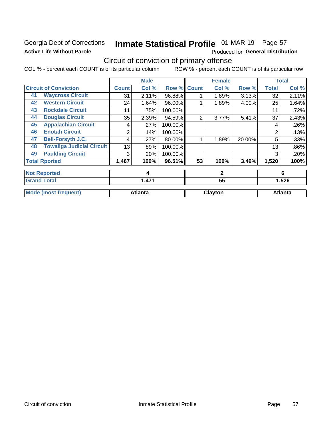### Georgia Dept of Corrections **Active Life Without Parole**

## Inmate Statistical Profile 01-MAR-19 Page 57

Produced for General Distribution

## Circuit of conviction of primary offense

COL % - percent each COUNT is of its particular column ROW % - percent each COUNT is of its particular row

|    |                                  |              | <b>Male</b>    |         |              | <b>Female</b> |        |                | <b>Total</b>   |
|----|----------------------------------|--------------|----------------|---------|--------------|---------------|--------|----------------|----------------|
|    | <b>Circuit of Conviction</b>     | <b>Count</b> | Col %          | Row %   | <b>Count</b> | Col %         | Row %  | <b>Total</b>   | Col %          |
| 41 | <b>Waycross Circuit</b>          | 31           | 2.11%          | 96.88%  |              | 1.89%         | 3.13%  | 32             | 2.11%          |
| 42 | <b>Western Circuit</b>           | 24           | 1.64%          | 96.00%  |              | 1.89%         | 4.00%  | 25             | 1.64%          |
| 43 | <b>Rockdale Circuit</b>          | 11           | .75%           | 100.00% |              |               |        | 11             | .72%           |
| 44 | <b>Douglas Circuit</b>           | 35           | 2.39%          | 94.59%  | 2            | 3.77%         | 5.41%  | 37             | 2.43%          |
| 45 | <b>Appalachian Circuit</b>       | 4            | .27%           | 100.00% |              |               |        | 4              | .26%           |
| 46 | <b>Enotah Circuit</b>            | 2            | .14%           | 100.00% |              |               |        | $\overline{2}$ | .13%           |
| 47 | <b>Bell-Forsyth J.C.</b>         | 4            | .27%           | 80.00%  |              | 1.89%         | 20.00% | 5              | .33%           |
| 48 | <b>Towaliga Judicial Circuit</b> | 13           | .89%           | 100.00% |              |               |        | 13             | .86%           |
| 49 | <b>Paulding Circuit</b>          | 3            | .20%           | 100.00% |              |               |        | 3              | .20%           |
|    | <b>Total Rported</b>             | 1,467        | 100%           | 96.51%  | 53           | 100%          | 3.49%  | 1,520          | 100%           |
|    | <b>Not Reported</b>              |              | 4              |         |              | $\mathbf{2}$  |        |                | 6              |
|    | <b>Grand Total</b>               | 1,471        |                |         | 55           |               |        | 1,526          |                |
|    | <b>Mode (most frequent)</b>      |              | <b>Atlanta</b> |         |              | Clayton       |        |                | <b>Atlanta</b> |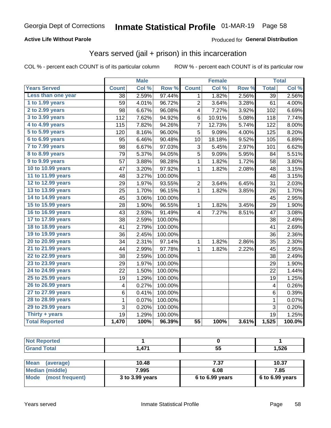#### **Active Life Without Parole**

#### Produced for General Distribution

### Years served (jail + prison) in this incarceration

COL % - percent each COUNT is of its particular column

|                        |                 | <b>Male</b> |         |              | <b>Female</b> |       | <b>Total</b>            |        |
|------------------------|-----------------|-------------|---------|--------------|---------------|-------|-------------------------|--------|
| <b>Years Served</b>    | <b>Count</b>    | Col %       | Row %   | <b>Count</b> | Col %         | Row % | <b>Total</b>            | Col %  |
| Less than one year     | $\overline{38}$ | 2.59%       | 97.44%  | 1            | 1.82%         | 2.56% | $\overline{39}$         | 2.56%  |
| 1 to 1.99 years        | 59              | 4.01%       | 96.72%  | 2            | 3.64%         | 3.28% | 61                      | 4.00%  |
| 2 to 2.99 years        | 98              | 6.67%       | 96.08%  | 4            | 7.27%         | 3.92% | 102                     | 6.69%  |
| 3 to 3.99 years        | 112             | 7.62%       | 94.92%  | 6            | 10.91%        | 5.08% | 118                     | 7.74%  |
| 4 to 4.99 years        | 115             | 7.82%       | 94.26%  | 7            | 12.73%        | 5.74% | 122                     | 8.00%  |
| 5 to 5.99 years        | 120             | 8.16%       | 96.00%  | 5            | 9.09%         | 4.00% | 125                     | 8.20%  |
| 6 to 6.99 years        | 95              | 6.46%       | 90.48%  | 10           | 18.18%        | 9.52% | 105                     | 6.89%  |
| 7 to 7.99 years        | 98              | 6.67%       | 97.03%  | 3            | 5.45%         | 2.97% | 101                     | 6.62%  |
| <b>8 to 8.99 years</b> | 79              | 5.37%       | 94.05%  | 5            | 9.09%         | 5.95% | 84                      | 5.51%  |
| 9 to 9.99 years        | 57              | 3.88%       | 98.28%  | $\mathbf{1}$ | 1.82%         | 1.72% | 58                      | 3.80%  |
| 10 to 10.99 years      | 47              | 3.20%       | 97.92%  | $\mathbf 1$  | 1.82%         | 2.08% | 48                      | 3.15%  |
| 11 to 11.99 years      | 48              | 3.27%       | 100.00% |              |               |       | 48                      | 3.15%  |
| 12 to 12.99 years      | 29              | 1.97%       | 93.55%  | 2            | 3.64%         | 6.45% | 31                      | 2.03%  |
| 13 to 13.99 years      | 25              | 1.70%       | 96.15%  | 1            | 1.82%         | 3.85% | 26                      | 1.70%  |
| 14 to 14.99 years      | 45              | 3.06%       | 100.00% |              |               |       | 45                      | 2.95%  |
| 15 to 15.99 years      | 28              | 1.90%       | 96.55%  | 1            | 1.82%         | 3.45% | 29                      | 1.90%  |
| 16 to 16.99 years      | 43              | 2.93%       | 91.49%  | 4            | 7.27%         | 8.51% | 47                      | 3.08%  |
| 17 to 17.99 years      | 38              | 2.59%       | 100.00% |              |               |       | 38                      | 2.49%  |
| 18 to 18.99 years      | 41              | 2.79%       | 100.00% |              |               |       | 41                      | 2.69%  |
| 19 to 19.99 years      | 36              | 2.45%       | 100.00% |              |               |       | 36                      | 2.36%  |
| 20 to 20.99 years      | 34              | 2.31%       | 97.14%  | 1            | 1.82%         | 2.86% | 35                      | 2.30%  |
| 21 to 21.99 years      | 44              | 2.99%       | 97.78%  | 1            | 1.82%         | 2.22% | 45                      | 2.95%  |
| 22 to 22.99 years      | 38              | 2.59%       | 100.00% |              |               |       | 38                      | 2.49%  |
| 23 to 23.99 years      | 29              | 1.97%       | 100.00% |              |               |       | 29                      | 1.90%  |
| 24 to 24.99 years      | 22              | 1.50%       | 100.00% |              |               |       | 22                      | 1.44%  |
| 25 to 25.99 years      | 19              | 1.29%       | 100.00% |              |               |       | 19                      | 1.25%  |
| 26 to 26.99 years      | 4               | 0.27%       | 100.00% |              |               |       | $\overline{\mathbf{4}}$ | 0.26%  |
| 27 to 27.99 years      | 6               | 0.41%       | 100.00% |              |               |       | 6                       | 0.39%  |
| 28 to 28.99 years      | 1               | 0.07%       | 100.00% |              |               |       | $\mathbf{1}$            | 0.07%  |
| 29 to 29.99 years      | 3               | 0.20%       | 100.00% |              |               |       | 3                       | 0.20%  |
| Thirty + years         | 19              | 1.29%       | 100.00% |              |               |       | $\overline{19}$         | 1.25%  |
| <b>Total Reported</b>  | 1,470           | 100%        | 96.39%  | 55           | 100%          | 3.61% | 1,525                   | 100.0% |
|                        |                 |             |         |              |               |       |                         |        |

| <b>Not Reported</b> |      |    |       |
|---------------------|------|----|-------|
| <b>Grand Total</b>  | ,471 | 55 | 1,526 |
|                     |      |    |       |

| ∣ Mean<br>(average)  | 10.48           | 7.37              | 10.37             |
|----------------------|-----------------|-------------------|-------------------|
| Median (middle)      | 7.995           | 6.08              | 7.85              |
| Mode (most frequent) | 3 to 3.99 years | $6$ to 6.99 years | $6$ to 6.99 years |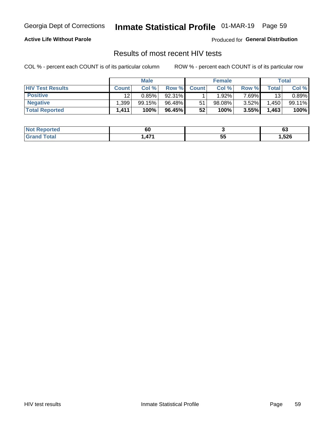## Inmate Statistical Profile 01-MAR-19 Page 59

#### **Active Life Without Parole**

Produced for General Distribution

### Results of most recent HIV tests

COL % - percent each COUNT is of its particular column

|                         | <b>Male</b>  |        |        | <b>Female</b>   |        |          | Total |        |
|-------------------------|--------------|--------|--------|-----------------|--------|----------|-------|--------|
| <b>HIV Test Results</b> | <b>Count</b> | Col %  | Row %I | <b>Count</b>    | Col %  | Row %    | Total | Col %  |
| <b>Positive</b>         | 12           | 0.85%  | 92.31% |                 | 1.92%  | 7.69%∎   | 13    | 0.89%  |
| <b>Negative</b>         | .399         | 99.15% | 96.48% | 51              | 98.08% | $3.52\%$ | .450  | 99.11% |
| <b>Total Reported</b>   | 1,411        | 100%   | 96.45% | 52 <sub>1</sub> | 100%   | 3.55%    | 1,463 | 100%   |

| <b>Not</b><br><b>Reported</b> | 60              |             | ~<br>vu      |
|-------------------------------|-----------------|-------------|--------------|
| `otal<br>. Grec               | <b>471</b><br>. | --<br><br>◡ | <b>1,526</b> |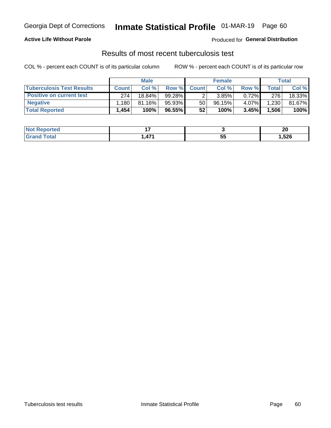## Georgia Dept of Corrections **Inmate Statistical Profile** 01-MAR-19 Page 60

#### **Active Life Without Parole**

Produced for **General Distribution**

### Results of most recent tuberculosis test

COL % - percent each COUNT is of its particular column ROW % - percent each COUNT is of its particular row

|                                  | <b>Male</b>  |        |        | <b>Female</b> |        |          | Total |        |
|----------------------------------|--------------|--------|--------|---------------|--------|----------|-------|--------|
| <b>Tuberculosis Test Results</b> | <b>Count</b> | Col%   | Row %I | <b>Count</b>  | Col%   | Row %    | Total | Col %  |
| <b>Positive on current test</b>  | 274          | 18.84% | 99.28% |               | 3.85%  | $0.72\%$ | 276   | 18.33% |
| <b>Negative</b>                  | .180         | 81.16% | 95.93% | 50            | 96.15% | 4.07%    | 1,230 | 81.67% |
| <b>Total Reported</b>            | 1,454        | 100%   | 96.55% | 52            | 100%   | 3.45%    | 1,506 | 100%   |

| <b>Not Reported</b> |     |          | ኅለ<br>ZV |
|---------------------|-----|----------|----------|
| Total               | A7' | --<br>JJ | ,526     |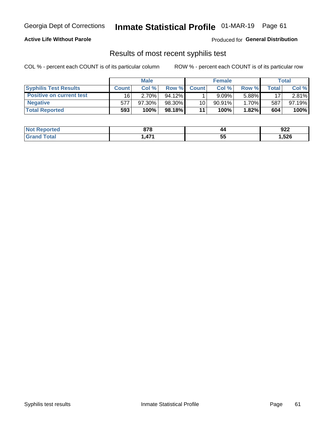## Georgia Dept of Corrections **Inmate Statistical Profile** 01-MAR-19 Page 61

#### **Active Life Without Parole**

Produced for **General Distribution**

### Results of most recent syphilis test

COL % - percent each COUNT is of its particular column ROW % - percent each COUNT is of its particular row

|                                 | <b>Male</b>  |           |           | <b>Female</b> |           |        | Total |        |
|---------------------------------|--------------|-----------|-----------|---------------|-----------|--------|-------|--------|
| <b>Syphilis Test Results</b>    | <b>Count</b> | Col%      | Row %     | <b>Count</b>  | Col %     | Row %I | Total | Col %  |
| <b>Positive on current test</b> | 16           | 2.70%     | $94.12\%$ |               | 9.09%     | 5.88%  | 17    | 2.81%  |
| <b>Negative</b>                 | 577          | $97.30\%$ | 98.30%    | 10            | $90.91\%$ | 1.70%  | 587   | 97.19% |
| <b>Total Reported</b>           | 593          | 100%      | 98.18%I   | 11            | 100%      | 1.82%  | 604   | 100%   |

| <b>Not Reported</b> | 070<br>07 O                   | 44      | 922    |
|---------------------|-------------------------------|---------|--------|
| <b>Total</b>        | $\overline{A}$ $\overline{A}$ | 55<br>◡ | 526, ا |